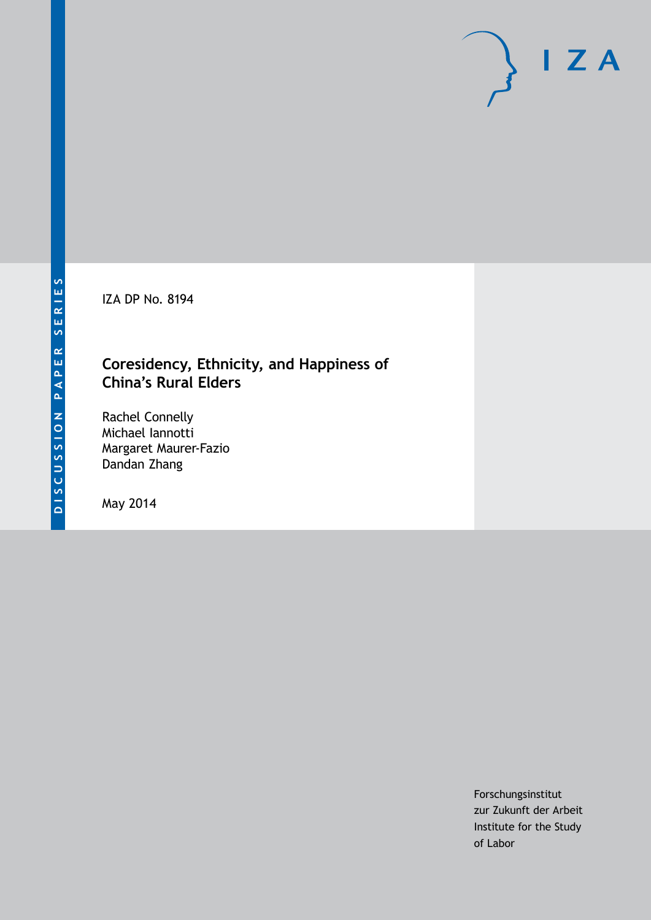IZA DP No. 8194

# **Coresidency, Ethnicity, and Happiness of China's Rural Elders**

Rachel Connelly Michael Iannotti Margaret Maurer-Fazio Dandan Zhang

May 2014

Forschungsinstitut zur Zukunft der Arbeit Institute for the Study of Labor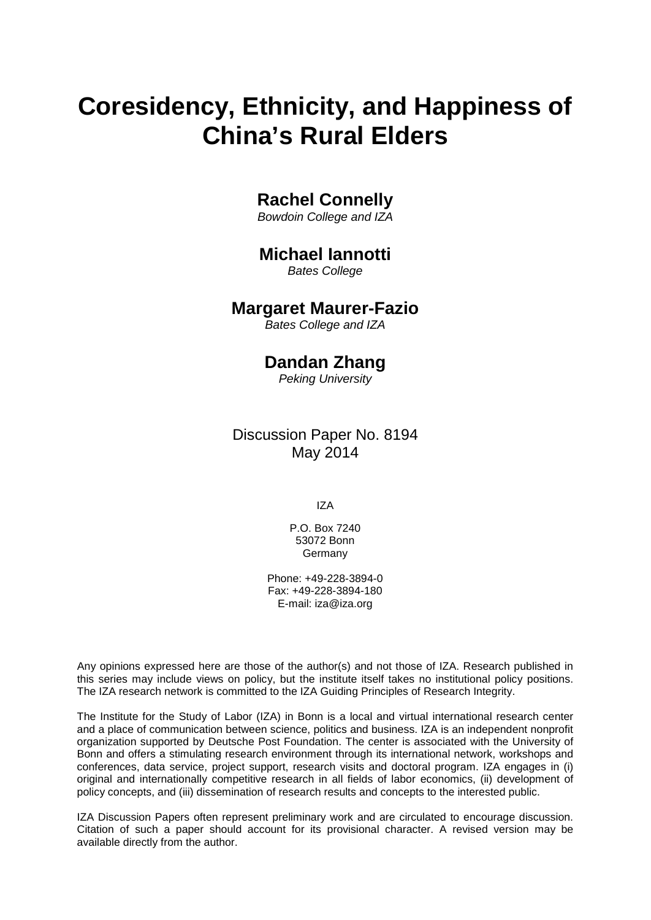# **Coresidency, Ethnicity, and Happiness of China's Rural Elders**

# **Rachel Connelly**

*Bowdoin College and IZA*

# **Michael Iannotti**

*Bates College*

### **Margaret Maurer-Fazio**

*Bates College and IZA*

# **Dandan Zhang**

*Peking University*

Discussion Paper No. 8194 May 2014

IZA

P.O. Box 7240 53072 Bonn **Germany** 

Phone: +49-228-3894-0 Fax: +49-228-3894-180 E-mail: [iza@iza.org](mailto:iza@iza.org)

Any opinions expressed here are those of the author(s) and not those of IZA. Research published in this series may include views on policy, but the institute itself takes no institutional policy positions. The IZA research network is committed to the IZA Guiding Principles of Research Integrity.

The Institute for the Study of Labor (IZA) in Bonn is a local and virtual international research center and a place of communication between science, politics and business. IZA is an independent nonprofit organization supported by Deutsche Post Foundation. The center is associated with the University of Bonn and offers a stimulating research environment through its international network, workshops and conferences, data service, project support, research visits and doctoral program. IZA engages in (i) original and internationally competitive research in all fields of labor economics, (ii) development of policy concepts, and (iii) dissemination of research results and concepts to the interested public.

IZA Discussion Papers often represent preliminary work and are circulated to encourage discussion. Citation of such a paper should account for its provisional character. A revised version may be available directly from the author.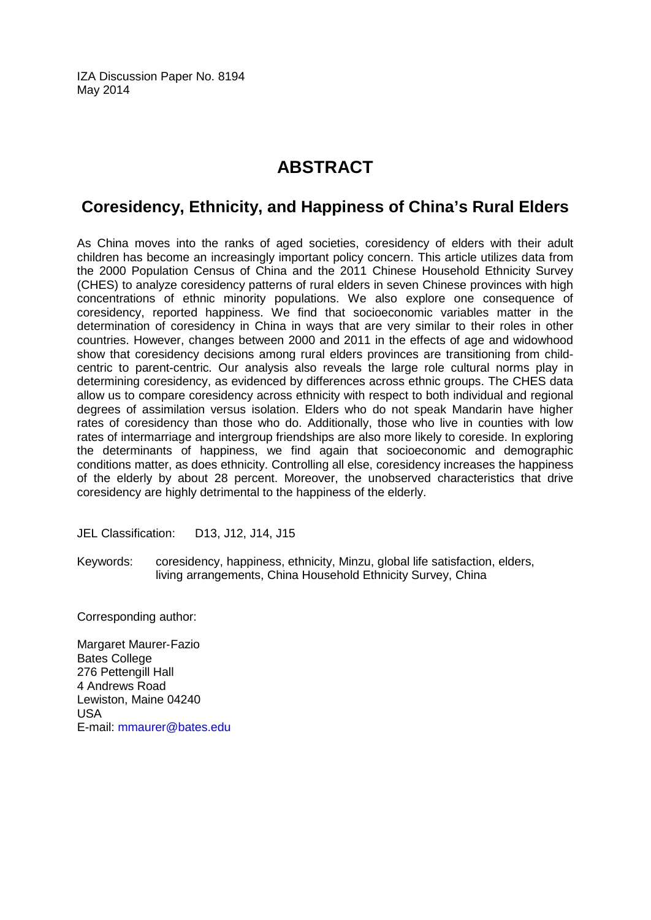IZA Discussion Paper No. 8194 May 2014

# **ABSTRACT**

# **Coresidency, Ethnicity, and Happiness of China's Rural Elders**

As China moves into the ranks of aged societies, coresidency of elders with their adult children has become an increasingly important policy concern. This article utilizes data from the 2000 Population Census of China and the 2011 Chinese Household Ethnicity Survey (CHES) to analyze coresidency patterns of rural elders in seven Chinese provinces with high concentrations of ethnic minority populations. We also explore one consequence of coresidency, reported happiness. We find that socioeconomic variables matter in the determination of coresidency in China in ways that are very similar to their roles in other countries. However, changes between 2000 and 2011 in the effects of age and widowhood show that coresidency decisions among rural elders provinces are transitioning from childcentric to parent-centric. Our analysis also reveals the large role cultural norms play in determining coresidency, as evidenced by differences across ethnic groups. The CHES data allow us to compare coresidency across ethnicity with respect to both individual and regional degrees of assimilation versus isolation. Elders who do not speak Mandarin have higher rates of coresidency than those who do. Additionally, those who live in counties with low rates of intermarriage and intergroup friendships are also more likely to coreside. In exploring the determinants of happiness, we find again that socioeconomic and demographic conditions matter, as does ethnicity. Controlling all else, coresidency increases the happiness of the elderly by about 28 percent. Moreover, the unobserved characteristics that drive coresidency are highly detrimental to the happiness of the elderly.

JEL Classification: D13, J12, J14, J15

Keywords: coresidency, happiness, ethnicity, Minzu, global life satisfaction, elders, living arrangements, China Household Ethnicity Survey, China

Corresponding author:

Margaret Maurer‐Fazio Bates College 276 Pettengill Hall 4 Andrews Road Lewiston, Maine 04240 USA E-mail: [mmaurer@bates.edu](mailto:mmaurer@bates.edu)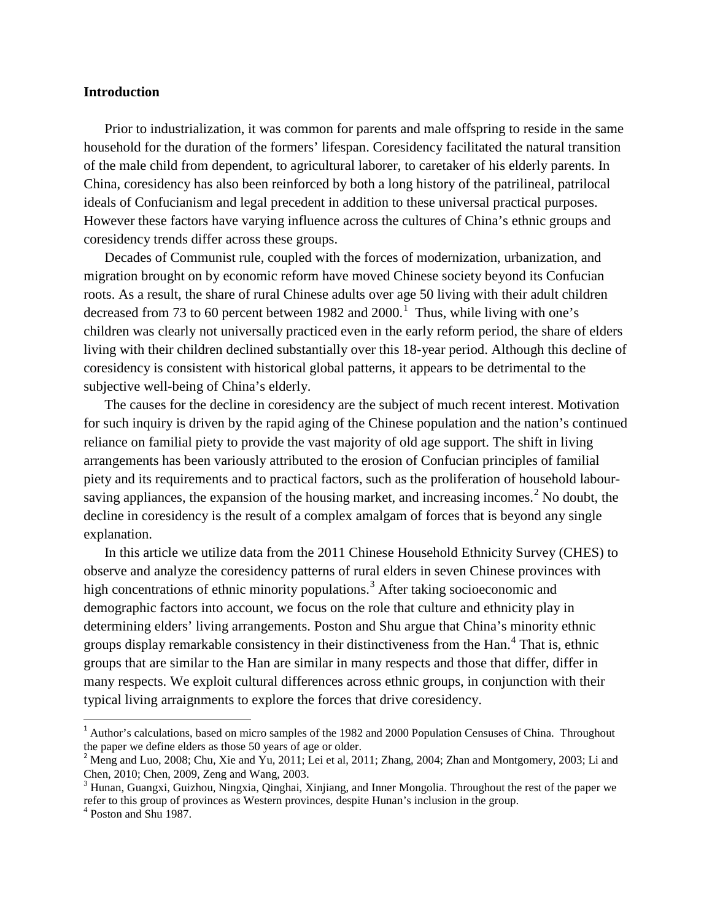#### **Introduction**

Prior to industrialization, it was common for parents and male offspring to reside in the same household for the duration of the formers' lifespan. Coresidency facilitated the natural transition of the male child from dependent, to agricultural laborer, to caretaker of his elderly parents. In China, coresidency has also been reinforced by both a long history of the patrilineal, patrilocal ideals of Confucianism and legal precedent in addition to these universal practical purposes. However these factors have varying influence across the cultures of China's ethnic groups and coresidency trends differ across these groups.

Decades of Communist rule, coupled with the forces of modernization, urbanization, and migration brought on by economic reform have moved Chinese society beyond its Confucian roots. As a result, the share of rural Chinese adults over age 50 living with their adult children decreased from 73 to 60 percent between  $1982$  and  $2000$ .<sup>1</sup> Thus, while living with one's children was clearly not universally practiced even in the early reform period, the share of elders living with their children declined substantially over this 18-year period. Although this decline of coresidency is consistent with historical global patterns, it appears to be detrimental to the subjective well-being of China's elderly.

The causes for the decline in coresidency are the subject of much recent interest. Motivation for such inquiry is driven by the rapid aging of the Chinese population and the nation's continued reliance on familial piety to provide the vast majority of old age support. The shift in living arrangements has been variously attributed to the erosion of Confucian principles of familial piety and its requirements and to practical factors, such as the proliferation of household labour-saving appliances, the expansion of the housing market, and increasing incomes.<sup>[2](#page-3-0)</sup> No doubt, the decline in coresidency is the result of a complex amalgam of forces that is beyond any single explanation.

In this article we utilize data from the 2011 Chinese Household Ethnicity Survey (CHES) to observe and analyze the coresidency patterns of rural elders in seven Chinese provinces with high concentrations of ethnic minority populations.<sup>[3](#page-3-1)</sup> After taking socioeconomic and demographic factors into account, we focus on the role that culture and ethnicity play in determining elders' living arrangements. Poston and Shu argue that China's minority ethnic groups display remarkable consistency in their distinctiveness from the Han.[4](#page-3-2) That is, ethnic groups that are similar to the Han are similar in many respects and those that differ, differ in many respects. We exploit cultural differences across ethnic groups, in conjunction with their typical living arraignments to explore the forces that drive coresidency.

<sup>&</sup>lt;sup>1</sup> Author's calculations, based on micro samples of the 1982 and 2000 Population Censuses of China. Throughout the paper we define elders as those 50 years of age or older.

<span id="page-3-0"></span> $^2$  Meng and Luo, 2008; Chu, Xie and Yu, 2011; Lei et al, 2011; Zhang, 2004; Zhan and Montgomery, 2003; Li and Chen, 2010; Chen, 2009, Zeng and Wang, 2003.

<span id="page-3-3"></span><span id="page-3-1"></span><sup>&</sup>lt;sup>3</sup> Hunan, Guangxi, Guizhou, Ningxia, Qinghai, Xinjiang, and Inner Mongolia. Throughout the rest of the paper we refer to this group of provinces as Western provinces, despite Hunan's inclusion in the group. <sup>4</sup> Poston and Shu 1987.

<span id="page-3-2"></span>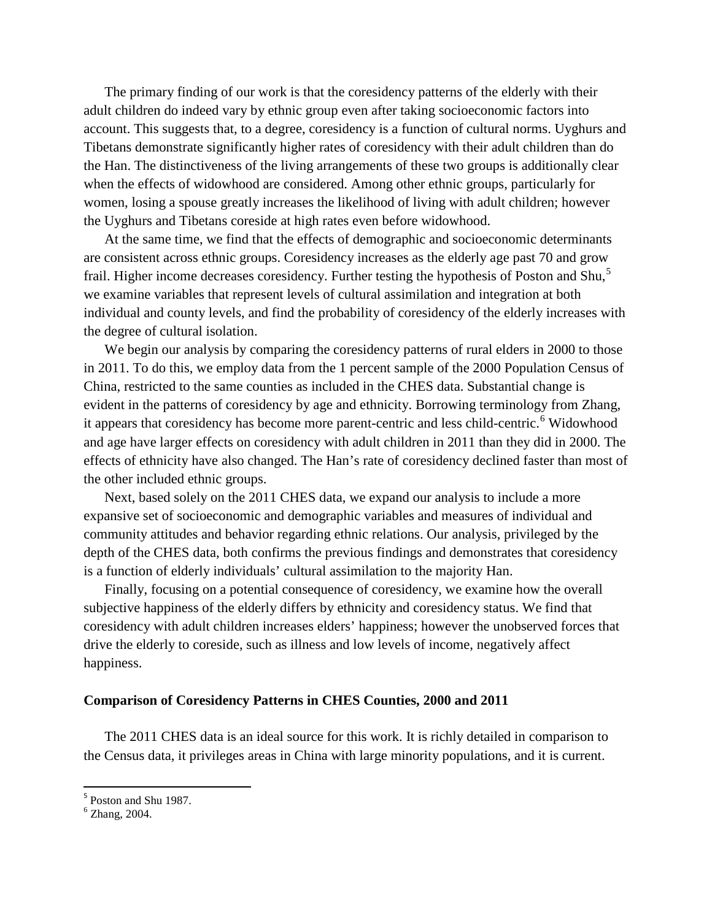The primary finding of our work is that the coresidency patterns of the elderly with their adult children do indeed vary by ethnic group even after taking socioeconomic factors into account. This suggests that, to a degree, coresidency is a function of cultural norms. Uyghurs and Tibetans demonstrate significantly higher rates of coresidency with their adult children than do the Han. The distinctiveness of the living arrangements of these two groups is additionally clear when the effects of widowhood are considered. Among other ethnic groups, particularly for women, losing a spouse greatly increases the likelihood of living with adult children; however the Uyghurs and Tibetans coreside at high rates even before widowhood.

At the same time, we find that the effects of demographic and socioeconomic determinants are consistent across ethnic groups. Coresidency increases as the elderly age past 70 and grow frail. Higher income decreases coresidency. Further testing the hypothesis of Poston and Shu,<sup>[5](#page-3-3)</sup> we examine variables that represent levels of cultural assimilation and integration at both individual and county levels, and find the probability of coresidency of the elderly increases with the degree of cultural isolation.

We begin our analysis by comparing the coresidency patterns of rural elders in 2000 to those in 2011. To do this, we employ data from the 1 percent sample of the 2000 Population Census of China, restricted to the same counties as included in the CHES data. Substantial change is evident in the patterns of coresidency by age and ethnicity. Borrowing terminology from Zhang, it appears that coresidency has become more parent-centric and less child-centric.<sup>[6](#page-4-0)</sup> Widowhood and age have larger effects on coresidency with adult children in 2011 than they did in 2000. The effects of ethnicity have also changed. The Han's rate of coresidency declined faster than most of the other included ethnic groups.

Next, based solely on the 2011 CHES data, we expand our analysis to include a more expansive set of socioeconomic and demographic variables and measures of individual and community attitudes and behavior regarding ethnic relations. Our analysis, privileged by the depth of the CHES data, both confirms the previous findings and demonstrates that coresidency is a function of elderly individuals' cultural assimilation to the majority Han.

Finally, focusing on a potential consequence of coresidency, we examine how the overall subjective happiness of the elderly differs by ethnicity and coresidency status. We find that coresidency with adult children increases elders' happiness; however the unobserved forces that drive the elderly to coreside, such as illness and low levels of income, negatively affect happiness.

#### **Comparison of Coresidency Patterns in CHES Counties, 2000 and 2011**

The 2011 CHES data is an ideal source for this work. It is richly detailed in comparison to the Census data, it privileges areas in China with large minority populations, and it is current.

<span id="page-4-1"></span><span id="page-4-0"></span> $<sup>5</sup>$  Poston and Shu 1987.<br> $<sup>6</sup>$  Zhang, 2004.</sup></sup>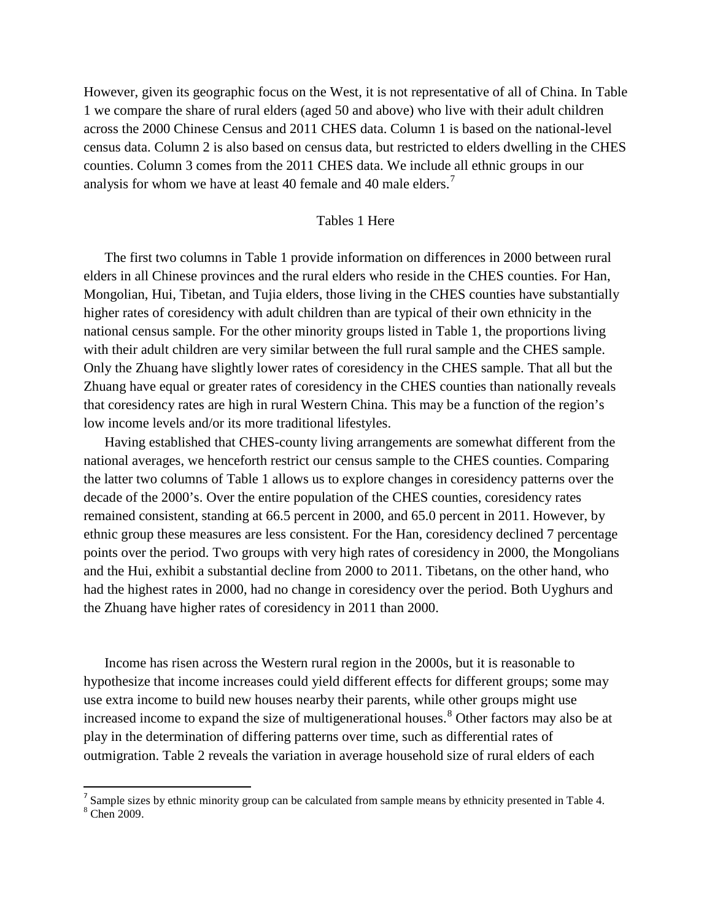However, given its geographic focus on the West, it is not representative of all of China. In Table 1 we compare the share of rural elders (aged 50 and above) who live with their adult children across the 2000 Chinese Census and 2011 CHES data. Column 1 is based on the national-level census data. Column 2 is also based on census data, but restricted to elders dwelling in the CHES counties. Column 3 comes from the 2011 CHES data. We include all ethnic groups in our analysis for whom we have at least 40 female and 40 male elders.<sup>[7](#page-4-1)</sup>

#### Tables 1 Here

The first two columns in Table 1 provide information on differences in 2000 between rural elders in all Chinese provinces and the rural elders who reside in the CHES counties. For Han, Mongolian, Hui, Tibetan, and Tujia elders, those living in the CHES counties have substantially higher rates of coresidency with adult children than are typical of their own ethnicity in the national census sample. For the other minority groups listed in Table 1, the proportions living with their adult children are very similar between the full rural sample and the CHES sample. Only the Zhuang have slightly lower rates of coresidency in the CHES sample. That all but the Zhuang have equal or greater rates of coresidency in the CHES counties than nationally reveals that coresidency rates are high in rural Western China. This may be a function of the region's low income levels and/or its more traditional lifestyles.

Having established that CHES-county living arrangements are somewhat different from the national averages, we henceforth restrict our census sample to the CHES counties. Comparing the latter two columns of Table 1 allows us to explore changes in coresidency patterns over the decade of the 2000's. Over the entire population of the CHES counties, coresidency rates remained consistent, standing at 66.5 percent in 2000, and 65.0 percent in 2011. However, by ethnic group these measures are less consistent. For the Han, coresidency declined 7 percentage points over the period. Two groups with very high rates of coresidency in 2000, the Mongolians and the Hui, exhibit a substantial decline from 2000 to 2011. Tibetans, on the other hand, who had the highest rates in 2000, had no change in coresidency over the period. Both Uyghurs and the Zhuang have higher rates of coresidency in 2011 than 2000.

Income has risen across the Western rural region in the 2000s, but it is reasonable to hypothesize that income increases could yield different effects for different groups; some may use extra income to build new houses nearby their parents, while other groups might use increased income to expand the size of multigenerational houses.<sup>[8](#page-5-0)</sup> Other factors may also be at play in the determination of differing patterns over time, such as differential rates of outmigration. Table 2 reveals the variation in average household size of rural elders of each

<span id="page-5-0"></span><sup>&</sup>lt;sup>7</sup> Sample sizes by ethnic minority group can be calculated from sample means by ethnicity presented in Table 4. <sup>8</sup> Chen 2009.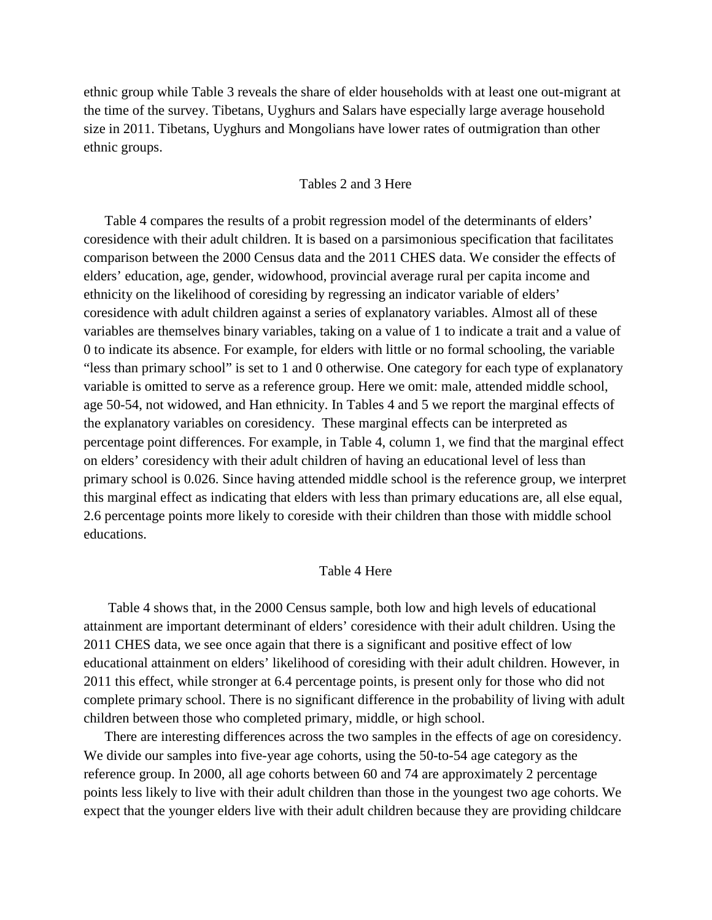ethnic group while Table 3 reveals the share of elder households with at least one out-migrant at the time of the survey. Tibetans, Uyghurs and Salars have especially large average household size in 2011. Tibetans, Uyghurs and Mongolians have lower rates of outmigration than other ethnic groups.

#### Tables 2 and 3 Here

Table 4 compares the results of a probit regression model of the determinants of elders' coresidence with their adult children. It is based on a parsimonious specification that facilitates comparison between the 2000 Census data and the 2011 CHES data. We consider the effects of elders' education, age, gender, widowhood, provincial average rural per capita income and ethnicity on the likelihood of coresiding by regressing an indicator variable of elders' coresidence with adult children against a series of explanatory variables. Almost all of these variables are themselves binary variables, taking on a value of 1 to indicate a trait and a value of 0 to indicate its absence. For example, for elders with little or no formal schooling, the variable "less than primary school" is set to 1 and 0 otherwise. One category for each type of explanatory variable is omitted to serve as a reference group. Here we omit: male, attended middle school, age 50-54, not widowed, and Han ethnicity. In Tables 4 and 5 we report the marginal effects of the explanatory variables on coresidency. These marginal effects can be interpreted as percentage point differences. For example, in Table 4, column 1, we find that the marginal effect on elders' coresidency with their adult children of having an educational level of less than primary school is 0.026. Since having attended middle school is the reference group, we interpret this marginal effect as indicating that elders with less than primary educations are, all else equal, 2.6 percentage points more likely to coreside with their children than those with middle school educations.

#### Table 4 Here

Table 4 shows that, in the 2000 Census sample, both low and high levels of educational attainment are important determinant of elders' coresidence with their adult children. Using the 2011 CHES data, we see once again that there is a significant and positive effect of low educational attainment on elders' likelihood of coresiding with their adult children. However, in 2011 this effect, while stronger at 6.4 percentage points, is present only for those who did not complete primary school. There is no significant difference in the probability of living with adult children between those who completed primary, middle, or high school.

There are interesting differences across the two samples in the effects of age on coresidency. We divide our samples into five-year age cohorts, using the 50-to-54 age category as the reference group. In 2000, all age cohorts between 60 and 74 are approximately 2 percentage points less likely to live with their adult children than those in the youngest two age cohorts. We expect that the younger elders live with their adult children because they are providing childcare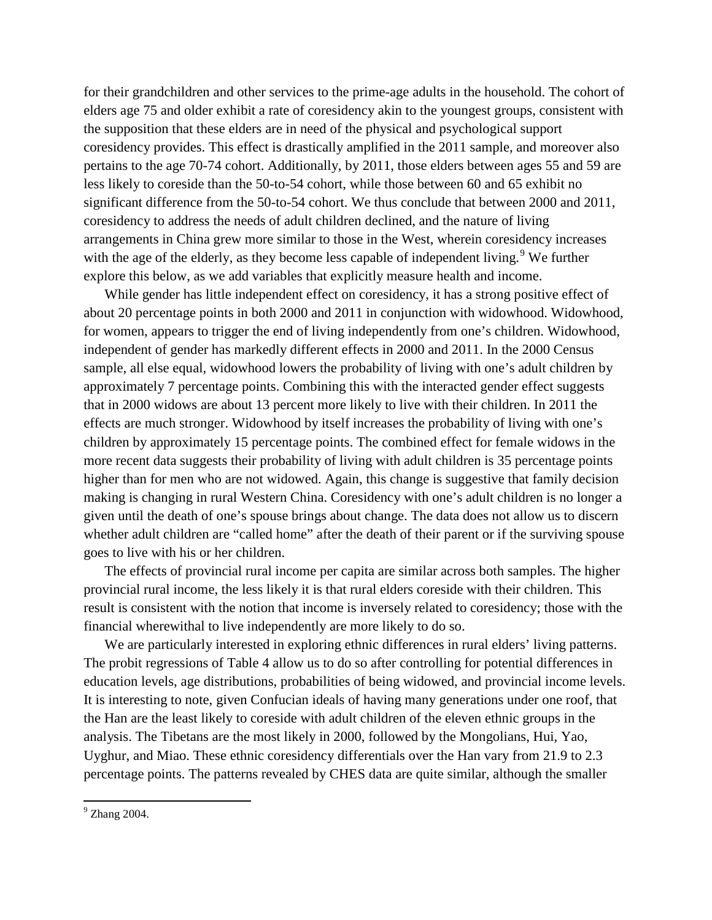for their grandchildren and other services to the prime-age adults in the household. The cohort of elders age 75 and older exhibit a rate of coresidency akin to the youngest groups, consistent with the supposition that these elders are in need of the physical and psychological support coresidency provides. This effect is drastically amplified in the 2011 sample, and moreover also pertains to the age 70-74 cohort. Additionally, by 2011, those elders between ages 55 and 59 are less likely to coreside than the 50-to-54 cohort, while those between 60 and 65 exhibit no significant difference from the 50-to-54 cohort. We thus conclude that between 2000 and 2011, coresidency to address the needs of adult children declined, and the nature of living arrangements in China grew more similar to those in the West, wherein coresidency increases with the age of the elderly, as they become less capable of independent living.<sup>[9](#page-5-0)</sup> We further explore this below, as we add variables that explicitly measure health and income.

While gender has little independent effect on coresidency, it has a strong positive effect of about 20 percentage points in both 2000 and 2011 in conjunction with widowhood. Widowhood, for women, appears to trigger the end of living independently from one's children. Widowhood, independent of gender has markedly different effects in 2000 and 2011. In the 2000 Census sample, all else equal, widowhood lowers the probability of living with one's adult children by approximately 7 percentage points. Combining this with the interacted gender effect suggests that in 2000 widows are about 13 percent more likely to live with their children. In 2011 the effects are much stronger. Widowhood by itself increases the probability of living with one's children by approximately 15 percentage points. The combined effect for female widows in the more recent data suggests their probability of living with adult children is 35 percentage points higher than for men who are not widowed. Again, this change is suggestive that family decision making is changing in rural Western China. Coresidency with one's adult children is no longer a given until the death of one's spouse brings about change. The data does not allow us to discern whether adult children are "called home" after the death of their parent or if the surviving spouse goes to live with his or her children.

The effects of provincial rural income per capita are similar across both samples. The higher provincial rural income, the less likely it is that rural elders coreside with their children. This result is consistent with the notion that income is inversely related to coresidency; those with the financial wherewithal to live independently are more likely to do so.

We are particularly interested in exploring ethnic differences in rural elders' living patterns. The probit regressions of Table 4 allow us to do so after controlling for potential differences in education levels, age distributions, probabilities of being widowed, and provincial income levels. It is interesting to note, given Confucian ideals of having many generations under one roof, that the Han are the least likely to coreside with adult children of the eleven ethnic groups in the analysis. The Tibetans are the most likely in 2000, followed by the Mongolians, Hui, Yao, Uyghur, and Miao. These ethnic coresidency differentials over the Han vary from 21.9 to 2.3 percentage points. The patterns revealed by CHES data are quite similar, although the smaller

<span id="page-7-0"></span><sup>9</sup> Zhang 2004.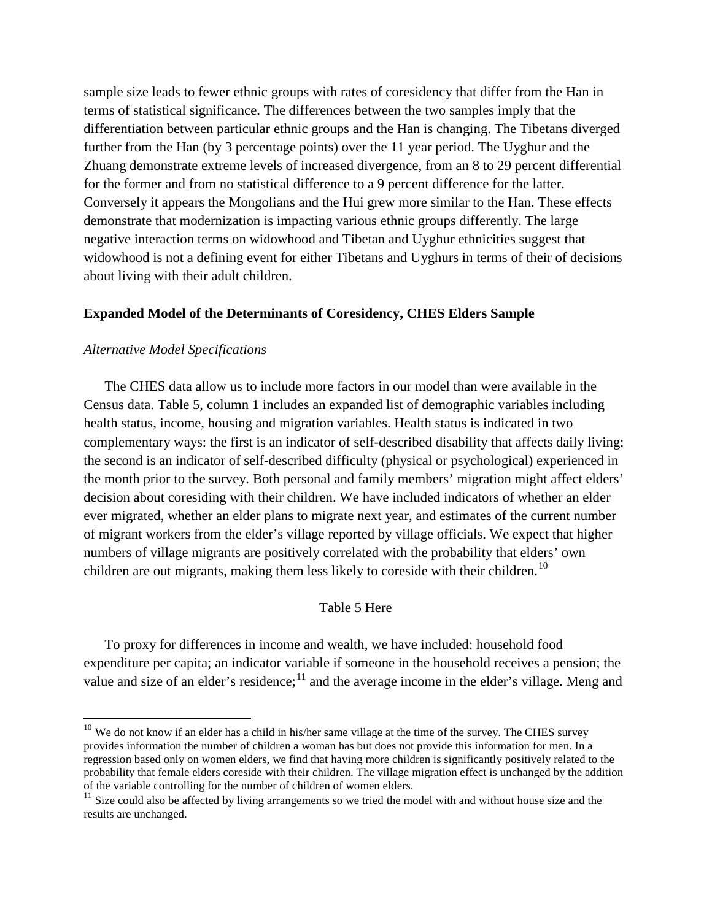sample size leads to fewer ethnic groups with rates of coresidency that differ from the Han in terms of statistical significance. The differences between the two samples imply that the differentiation between particular ethnic groups and the Han is changing. The Tibetans diverged further from the Han (by 3 percentage points) over the 11 year period. The Uyghur and the Zhuang demonstrate extreme levels of increased divergence, from an 8 to 29 percent differential for the former and from no statistical difference to a 9 percent difference for the latter. Conversely it appears the Mongolians and the Hui grew more similar to the Han. These effects demonstrate that modernization is impacting various ethnic groups differently. The large negative interaction terms on widowhood and Tibetan and Uyghur ethnicities suggest that widowhood is not a defining event for either Tibetans and Uyghurs in terms of their of decisions about living with their adult children.

#### **Expanded Model of the Determinants of Coresidency, CHES Elders Sample**

#### *Alternative Model Specifications*

l

The CHES data allow us to include more factors in our model than were available in the Census data. Table 5, column 1 includes an expanded list of demographic variables including health status, income, housing and migration variables. Health status is indicated in two complementary ways: the first is an indicator of self-described disability that affects daily living; the second is an indicator of self-described difficulty (physical or psychological) experienced in the month prior to the survey. Both personal and family members' migration might affect elders' decision about coresiding with their children. We have included indicators of whether an elder ever migrated, whether an elder plans to migrate next year, and estimates of the current number of migrant workers from the elder's village reported by village officials. We expect that higher numbers of village migrants are positively correlated with the probability that elders' own children are out migrants, making them less likely to coreside with their children.<sup>[10](#page-7-0)</sup>

#### Table 5 Here

To proxy for differences in income and wealth, we have included: household food expenditure per capita; an indicator variable if someone in the household receives a pension; the value and size of an elder's residence;<sup>[11](#page-8-0)</sup> and the average income in the elder's village. Meng and

 $10$  We do not know if an elder has a child in his/her same village at the time of the survey. The CHES survey provides information the number of children a woman has but does not provide this information for men. In a regression based only on women elders, we find that having more children is significantly positively related to the probability that female elders coreside with their children. The village migration effect is unchanged by the addition of the variable controlling for the number of children of women elders.

<span id="page-8-0"></span><sup>&</sup>lt;sup>11</sup> Size could also be affected by living arrangements so we tried the model with and without house size and the results are unchanged.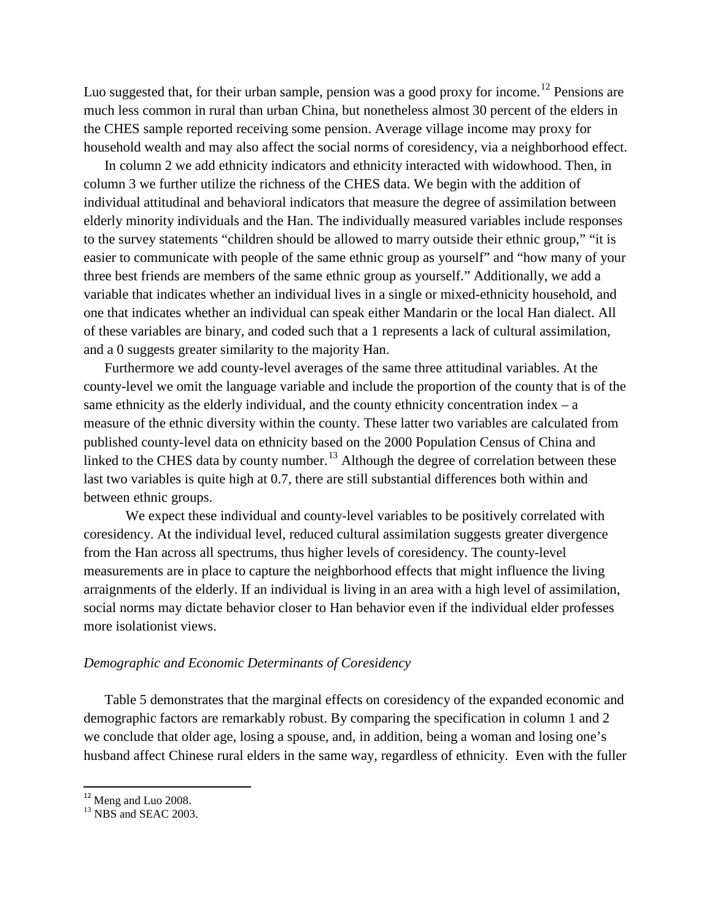Luo suggested that, for their urban sample, pension was a good proxy for income.<sup>[12](#page-8-0)</sup> Pensions are much less common in rural than urban China, but nonetheless almost 30 percent of the elders in the CHES sample reported receiving some pension. Average village income may proxy for household wealth and may also affect the social norms of coresidency, via a neighborhood effect.

In column 2 we add ethnicity indicators and ethnicity interacted with widowhood. Then, in column 3 we further utilize the richness of the CHES data. We begin with the addition of individual attitudinal and behavioral indicators that measure the degree of assimilation between elderly minority individuals and the Han. The individually measured variables include responses to the survey statements "children should be allowed to marry outside their ethnic group," "it is easier to communicate with people of the same ethnic group as yourself" and "how many of your three best friends are members of the same ethnic group as yourself." Additionally, we add a variable that indicates whether an individual lives in a single or mixed-ethnicity household, and one that indicates whether an individual can speak either Mandarin or the local Han dialect. All of these variables are binary, and coded such that a 1 represents a lack of cultural assimilation, and a 0 suggests greater similarity to the majority Han.

Furthermore we add county-level averages of the same three attitudinal variables. At the county-level we omit the language variable and include the proportion of the county that is of the same ethnicity as the elderly individual, and the county ethnicity concentration index  $- a$ measure of the ethnic diversity within the county. These latter two variables are calculated from published county-level data on ethnicity based on the 2000 Population Census of China and linked to the CHES data by county number.<sup>[13](#page-9-0)</sup> Although the degree of correlation between these last two variables is quite high at 0.7, there are still substantial differences both within and between ethnic groups.

We expect these individual and county-level variables to be positively correlated with coresidency. At the individual level, reduced cultural assimilation suggests greater divergence from the Han across all spectrums, thus higher levels of coresidency. The county-level measurements are in place to capture the neighborhood effects that might influence the living arraignments of the elderly. If an individual is living in an area with a high level of assimilation, social norms may dictate behavior closer to Han behavior even if the individual elder professes more isolationist views.

#### *Demographic and Economic Determinants of Coresidency*

Table 5 demonstrates that the marginal effects on coresidency of the expanded economic and demographic factors are remarkably robust. By comparing the specification in column 1 and 2 we conclude that older age, losing a spouse, and, in addition, being a woman and losing one's husband affect Chinese rural elders in the same way, regardless of ethnicity. Even with the fuller

<span id="page-9-1"></span><span id="page-9-0"></span> $12$  Meng and Luo 2008.<br> $13$  NBS and SEAC 2003.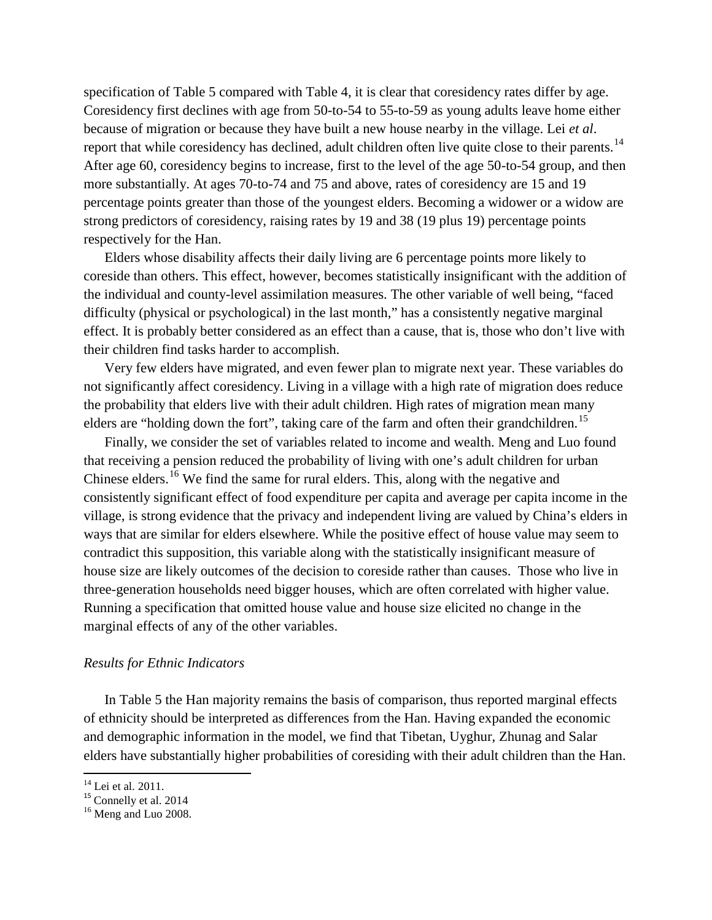specification of Table 5 compared with Table 4, it is clear that coresidency rates differ by age. Coresidency first declines with age from 50-to-54 to 55-to-59 as young adults leave home either because of migration or because they have built a new house nearby in the village. Lei *et al*. report that while coresidency has declined, adult children often live quite close to their parents.<sup>[14](#page-9-1)</sup> After age 60, coresidency begins to increase, first to the level of the age 50-to-54 group, and then more substantially. At ages 70-to-74 and 75 and above, rates of coresidency are 15 and 19 percentage points greater than those of the youngest elders. Becoming a widower or a widow are strong predictors of coresidency, raising rates by 19 and 38 (19 plus 19) percentage points respectively for the Han.

Elders whose disability affects their daily living are 6 percentage points more likely to coreside than others. This effect, however, becomes statistically insignificant with the addition of the individual and county-level assimilation measures. The other variable of well being, "faced difficulty (physical or psychological) in the last month," has a consistently negative marginal effect. It is probably better considered as an effect than a cause, that is, those who don't live with their children find tasks harder to accomplish.

Very few elders have migrated, and even fewer plan to migrate next year. These variables do not significantly affect coresidency. Living in a village with a high rate of migration does reduce the probability that elders live with their adult children. High rates of migration mean many elders are "holding down the fort", taking care of the farm and often their grandchildren.<sup>[15](#page-10-0)</sup>

Finally, we consider the set of variables related to income and wealth. Meng and Luo found that receiving a pension reduced the probability of living with one's adult children for urban Chinese elders.<sup>[16](#page-10-1)</sup> We find the same for rural elders. This, along with the negative and consistently significant effect of food expenditure per capita and average per capita income in the village, is strong evidence that the privacy and independent living are valued by China's elders in ways that are similar for elders elsewhere. While the positive effect of house value may seem to contradict this supposition, this variable along with the statistically insignificant measure of house size are likely outcomes of the decision to coreside rather than causes. Those who live in three-generation households need bigger houses, which are often correlated with higher value. Running a specification that omitted house value and house size elicited no change in the marginal effects of any of the other variables.

#### *Results for Ethnic Indicators*

In Table 5 the Han majority remains the basis of comparison, thus reported marginal effects of ethnicity should be interpreted as differences from the Han. Having expanded the economic and demographic information in the model, we find that Tibetan, Uyghur, Zhunag and Salar elders have substantially higher probabilities of coresiding with their adult children than the Han.

<span id="page-10-2"></span><span id="page-10-0"></span><sup>&</sup>lt;sup>14</sup> Lei et al. 2011.<br><sup>15</sup> Connelly et al. 2014<br><sup>16</sup> Meng and Luo 2008.

<span id="page-10-1"></span>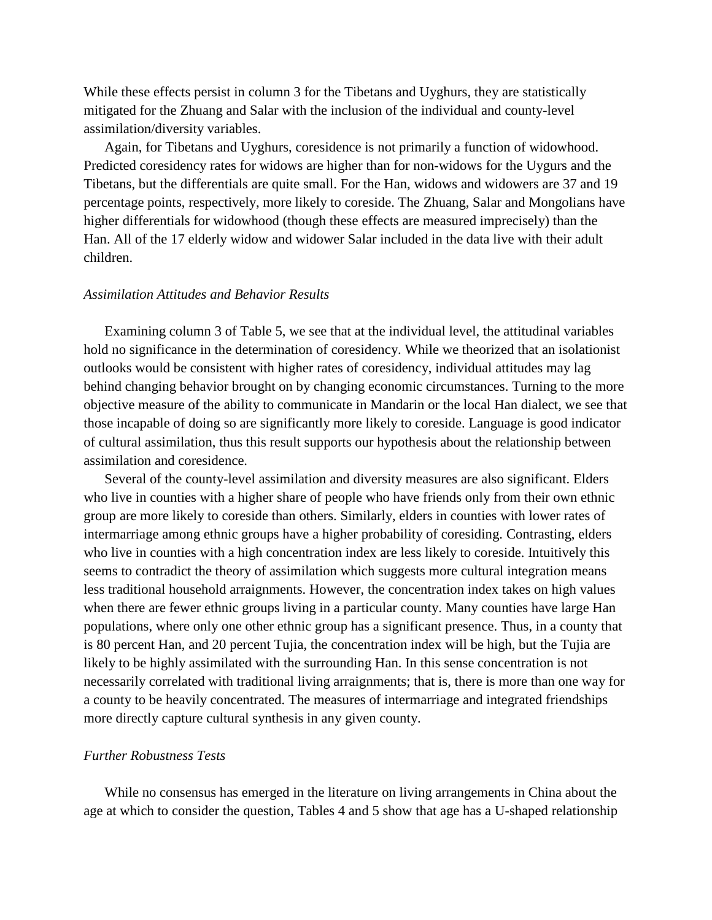While these effects persist in column 3 for the Tibetans and Uyghurs, they are statistically mitigated for the Zhuang and Salar with the inclusion of the individual and county-level assimilation/diversity variables.

Again, for Tibetans and Uyghurs, coresidence is not primarily a function of widowhood. Predicted coresidency rates for widows are higher than for non-widows for the Uygurs and the Tibetans, but the differentials are quite small. For the Han, widows and widowers are 37 and 19 percentage points, respectively, more likely to coreside. The Zhuang, Salar and Mongolians have higher differentials for widowhood (though these effects are measured imprecisely) than the Han. All of the 17 elderly widow and widower Salar included in the data live with their adult children.

#### *Assimilation Attitudes and Behavior Results*

Examining column 3 of Table 5, we see that at the individual level, the attitudinal variables hold no significance in the determination of coresidency. While we theorized that an isolationist outlooks would be consistent with higher rates of coresidency, individual attitudes may lag behind changing behavior brought on by changing economic circumstances. Turning to the more objective measure of the ability to communicate in Mandarin or the local Han dialect, we see that those incapable of doing so are significantly more likely to coreside. Language is good indicator of cultural assimilation, thus this result supports our hypothesis about the relationship between assimilation and coresidence.

Several of the county-level assimilation and diversity measures are also significant. Elders who live in counties with a higher share of people who have friends only from their own ethnic group are more likely to coreside than others. Similarly, elders in counties with lower rates of intermarriage among ethnic groups have a higher probability of coresiding. Contrasting, elders who live in counties with a high concentration index are less likely to coreside. Intuitively this seems to contradict the theory of assimilation which suggests more cultural integration means less traditional household arraignments. However, the concentration index takes on high values when there are fewer ethnic groups living in a particular county. Many counties have large Han populations, where only one other ethnic group has a significant presence. Thus, in a county that is 80 percent Han, and 20 percent Tujia, the concentration index will be high, but the Tujia are likely to be highly assimilated with the surrounding Han. In this sense concentration is not necessarily correlated with traditional living arraignments; that is, there is more than one way for a county to be heavily concentrated. The measures of intermarriage and integrated friendships more directly capture cultural synthesis in any given county.

#### *Further Robustness Tests*

While no consensus has emerged in the literature on living arrangements in China about the age at which to consider the question, Tables 4 and 5 show that age has a U-shaped relationship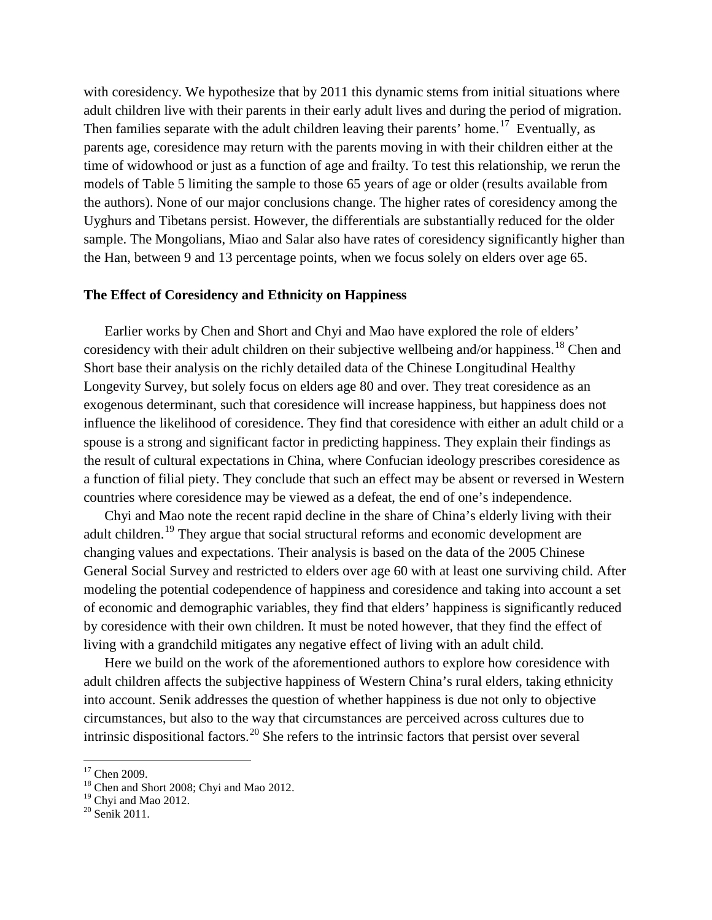with coresidency. We hypothesize that by 2011 this dynamic stems from initial situations where adult children live with their parents in their early adult lives and during the period of migration. Then families separate with the adult children leaving their parents' home.<sup>[17](#page-10-2)</sup> Eventually, as parents age, coresidence may return with the parents moving in with their children either at the time of widowhood or just as a function of age and frailty. To test this relationship, we rerun the models of Table 5 limiting the sample to those 65 years of age or older (results available from the authors). None of our major conclusions change. The higher rates of coresidency among the Uyghurs and Tibetans persist. However, the differentials are substantially reduced for the older sample. The Mongolians, Miao and Salar also have rates of coresidency significantly higher than the Han, between 9 and 13 percentage points, when we focus solely on elders over age 65.

#### **The Effect of Coresidency and Ethnicity on Happiness**

Earlier works by Chen and Short and Chyi and Mao have explored the role of elders' coresidency with their adult children on their subjective wellbeing and/or happiness.<sup>[18](#page-12-0)</sup> Chen and Short base their analysis on the richly detailed data of the Chinese Longitudinal Healthy Longevity Survey, but solely focus on elders age 80 and over. They treat coresidence as an exogenous determinant, such that coresidence will increase happiness, but happiness does not influence the likelihood of coresidence. They find that coresidence with either an adult child or a spouse is a strong and significant factor in predicting happiness. They explain their findings as the result of cultural expectations in China, where Confucian ideology prescribes coresidence as a function of filial piety. They conclude that such an effect may be absent or reversed in Western countries where coresidence may be viewed as a defeat, the end of one's independence.

Chyi and Mao note the recent rapid decline in the share of China's elderly living with their adult children.<sup>[19](#page-12-1)</sup> They argue that social structural reforms and economic development are changing values and expectations. Their analysis is based on the data of the 2005 Chinese General Social Survey and restricted to elders over age 60 with at least one surviving child. After modeling the potential codependence of happiness and coresidence and taking into account a set of economic and demographic variables, they find that elders' happiness is significantly reduced by coresidence with their own children. It must be noted however, that they find the effect of living with a grandchild mitigates any negative effect of living with an adult child.

<span id="page-12-3"></span>Here we build on the work of the aforementioned authors to explore how coresidence with adult children affects the subjective happiness of Western China's rural elders, taking ethnicity into account. Senik addresses the question of whether happiness is due not only to objective circumstances, but also to the way that circumstances are perceived across cultures due to intrinsic dispositional factors.<sup>[20](#page-12-2)</sup> She refers to the intrinsic factors that persist over several

<sup>&</sup>lt;sup>17</sup> Chen 2009.<br><sup>18</sup> Chen and Short 2008; Chyi and Mao 2012.

<span id="page-12-2"></span><span id="page-12-1"></span><span id="page-12-0"></span><sup>&</sup>lt;sup>19</sup> Chyi and Mao 2012.<br><sup>20</sup> Senik 2011.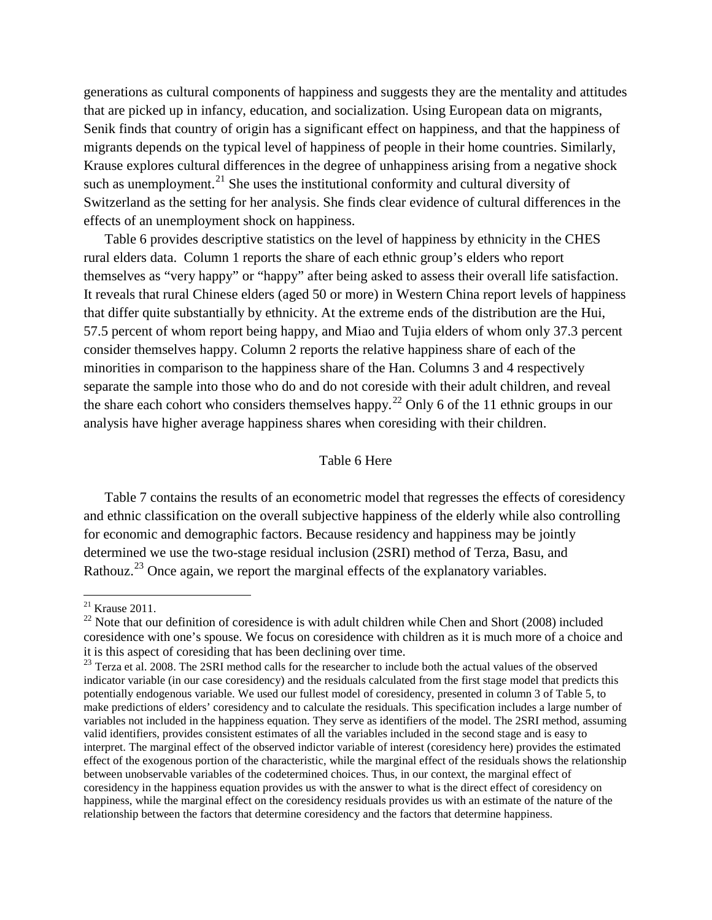generations as cultural components of happiness and suggests they are the mentality and attitudes that are picked up in infancy, education, and socialization. Using European data on migrants, Senik finds that country of origin has a significant effect on happiness, and that the happiness of migrants depends on the typical level of happiness of people in their home countries. Similarly, Krause explores cultural differences in the degree of unhappiness arising from a negative shock such as unemployment.<sup>[21](#page-12-3)</sup> She uses the institutional conformity and cultural diversity of Switzerland as the setting for her analysis. She finds clear evidence of cultural differences in the effects of an unemployment shock on happiness.

Table 6 provides descriptive statistics on the level of happiness by ethnicity in the CHES rural elders data. Column 1 reports the share of each ethnic group's elders who report themselves as "very happy" or "happy" after being asked to assess their overall life satisfaction. It reveals that rural Chinese elders (aged 50 or more) in Western China report levels of happiness that differ quite substantially by ethnicity. At the extreme ends of the distribution are the Hui, 57.5 percent of whom report being happy, and Miao and Tujia elders of whom only 37.3 percent consider themselves happy. Column 2 reports the relative happiness share of each of the minorities in comparison to the happiness share of the Han. Columns 3 and 4 respectively separate the sample into those who do and do not coreside with their adult children, and reveal the share each cohort who considers themselves happy.<sup>[22](#page-13-0)</sup> Only 6 of the 11 ethnic groups in our analysis have higher average happiness shares when coresiding with their children.

#### Table 6 Here

Table 7 contains the results of an econometric model that regresses the effects of coresidency and ethnic classification on the overall subjective happiness of the elderly while also controlling for economic and demographic factors. Because residency and happiness may be jointly determined we use the two-stage residual inclusion (2SRI) method of Terza, Basu, and Rathouz.<sup>[23](#page-13-1)</sup> Once again, we report the marginal effects of the explanatory variables.

<sup>21</sup> Krause 2011.

<span id="page-13-0"></span> $22$  Note that our definition of coresidence is with adult children while Chen and Short (2008) included coresidence with one's spouse. We focus on coresidence with children as it is much more of a choice and it is this aspect of coresiding that has been declining over time.

<span id="page-13-2"></span><span id="page-13-1"></span><sup>&</sup>lt;sup>23</sup> Terza et al. 2008. The 2SRI method calls for the researcher to include both the actual values of the observed indicator variable (in our case coresidency) and the residuals calculated from the first stage model that predicts this potentially endogenous variable. We used our fullest model of coresidency, presented in column 3 of Table 5, to make predictions of elders' coresidency and to calculate the residuals. This specification includes a large number of variables not included in the happiness equation. They serve as identifiers of the model. The 2SRI method, assuming valid identifiers, provides consistent estimates of all the variables included in the second stage and is easy to interpret. The marginal effect of the observed indictor variable of interest (coresidency here) provides the estimated effect of the exogenous portion of the characteristic, while the marginal effect of the residuals shows the relationship between unobservable variables of the codetermined choices. Thus, in our context, the marginal effect of coresidency in the happiness equation provides us with the answer to what is the direct effect of coresidency on happiness, while the marginal effect on the coresidency residuals provides us with an estimate of the nature of the relationship between the factors that determine coresidency and the factors that determine happiness.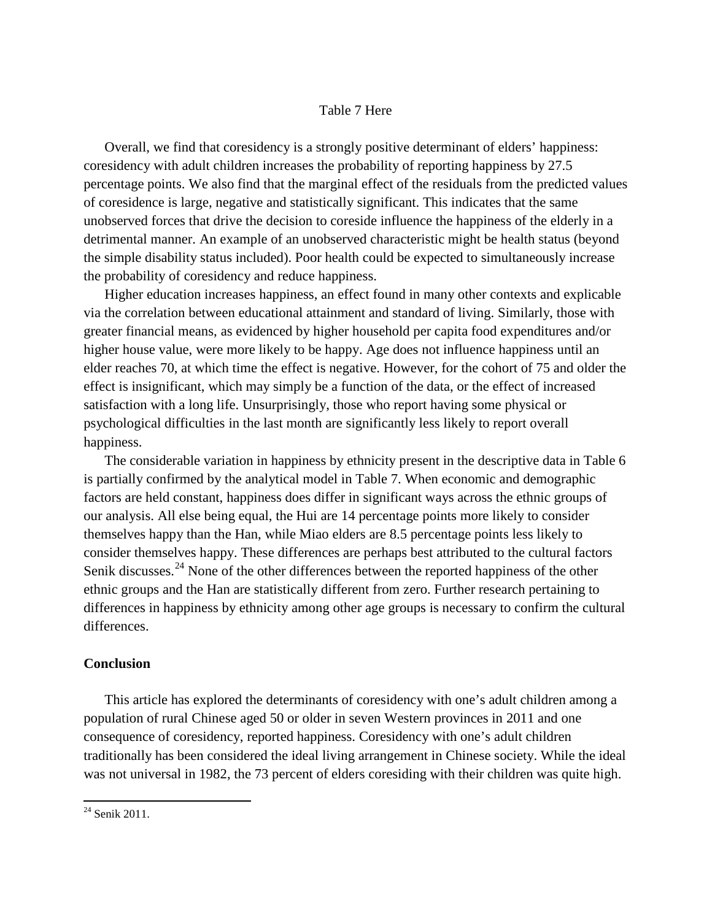#### Table 7 Here

Overall, we find that coresidency is a strongly positive determinant of elders' happiness: coresidency with adult children increases the probability of reporting happiness by 27.5 percentage points. We also find that the marginal effect of the residuals from the predicted values of coresidence is large, negative and statistically significant. This indicates that the same unobserved forces that drive the decision to coreside influence the happiness of the elderly in a detrimental manner. An example of an unobserved characteristic might be health status (beyond the simple disability status included). Poor health could be expected to simultaneously increase the probability of coresidency and reduce happiness.

Higher education increases happiness, an effect found in many other contexts and explicable via the correlation between educational attainment and standard of living. Similarly, those with greater financial means, as evidenced by higher household per capita food expenditures and/or higher house value, were more likely to be happy. Age does not influence happiness until an elder reaches 70, at which time the effect is negative. However, for the cohort of 75 and older the effect is insignificant, which may simply be a function of the data, or the effect of increased satisfaction with a long life. Unsurprisingly, those who report having some physical or psychological difficulties in the last month are significantly less likely to report overall happiness.

The considerable variation in happiness by ethnicity present in the descriptive data in Table 6 is partially confirmed by the analytical model in Table 7. When economic and demographic factors are held constant, happiness does differ in significant ways across the ethnic groups of our analysis. All else being equal, the Hui are 14 percentage points more likely to consider themselves happy than the Han, while Miao elders are 8.5 percentage points less likely to consider themselves happy. These differences are perhaps best attributed to the cultural factors Senik discusses.<sup>[24](#page-13-2)</sup> None of the other differences between the reported happiness of the other ethnic groups and the Han are statistically different from zero. Further research pertaining to differences in happiness by ethnicity among other age groups is necessary to confirm the cultural differences.

#### **Conclusion**

This article has explored the determinants of coresidency with one's adult children among a population of rural Chinese aged 50 or older in seven Western provinces in 2011 and one consequence of coresidency, reported happiness. Coresidency with one's adult children traditionally has been considered the ideal living arrangement in Chinese society. While the ideal was not universal in 1982, the 73 percent of elders coresiding with their children was quite high.

<span id="page-14-0"></span><sup>24</sup> Senik 2011.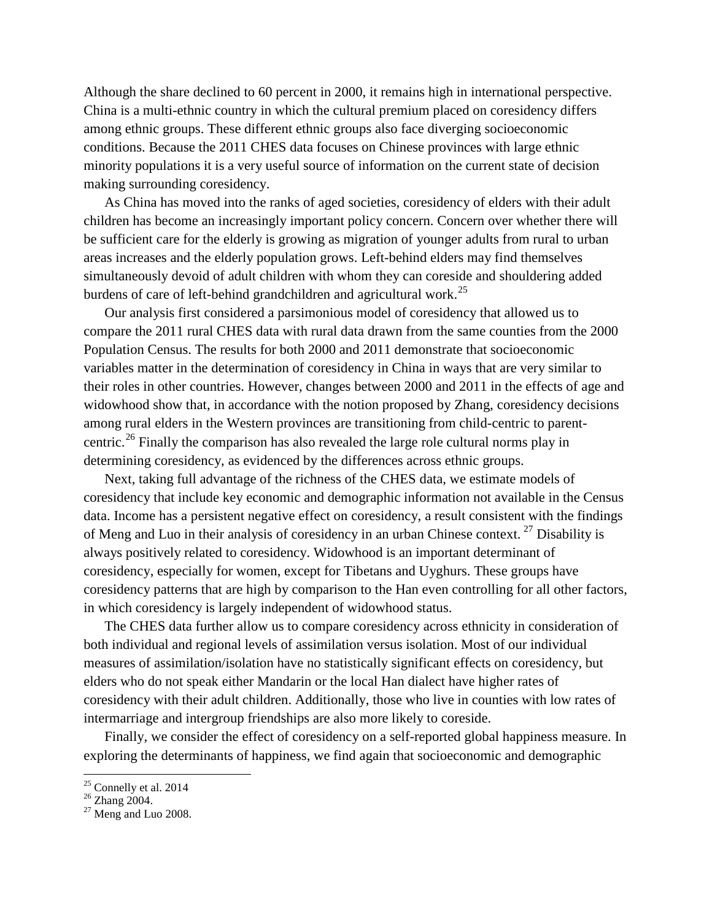Although the share declined to 60 percent in 2000, it remains high in international perspective. China is a multi-ethnic country in which the cultural premium placed on coresidency differs among ethnic groups. These different ethnic groups also face diverging socioeconomic conditions. Because the 2011 CHES data focuses on Chinese provinces with large ethnic minority populations it is a very useful source of information on the current state of decision making surrounding coresidency.

As China has moved into the ranks of aged societies, coresidency of elders with their adult children has become an increasingly important policy concern. Concern over whether there will be sufficient care for the elderly is growing as migration of younger adults from rural to urban areas increases and the elderly population grows. Left-behind elders may find themselves simultaneously devoid of adult children with whom they can coreside and shouldering added burdens of care of left-behind grandchildren and agricultural work.<sup>[25](#page-14-0)</sup>

Our analysis first considered a parsimonious model of coresidency that allowed us to compare the 2011 rural CHES data with rural data drawn from the same counties from the 2000 Population Census. The results for both 2000 and 2011 demonstrate that socioeconomic variables matter in the determination of coresidency in China in ways that are very similar to their roles in other countries. However, changes between 2000 and 2011 in the effects of age and widowhood show that, in accordance with the notion proposed by Zhang, coresidency decisions among rural elders in the Western provinces are transitioning from child-centric to parentcentric.[26](#page-15-0) Finally the comparison has also revealed the large role cultural norms play in determining coresidency, as evidenced by the differences across ethnic groups.

Next, taking full advantage of the richness of the CHES data, we estimate models of coresidency that include key economic and demographic information not available in the Census data. Income has a persistent negative effect on coresidency, a result consistent with the findings of Meng and Luo in their analysis of coresidency in an urban Chinese context.<sup>[27](#page-15-1)</sup> Disability is always positively related to coresidency. Widowhood is an important determinant of coresidency, especially for women, except for Tibetans and Uyghurs. These groups have coresidency patterns that are high by comparison to the Han even controlling for all other factors, in which coresidency is largely independent of widowhood status.

The CHES data further allow us to compare coresidency across ethnicity in consideration of both individual and regional levels of assimilation versus isolation. Most of our individual measures of assimilation/isolation have no statistically significant effects on coresidency, but elders who do not speak either Mandarin or the local Han dialect have higher rates of coresidency with their adult children. Additionally, those who live in counties with low rates of intermarriage and intergroup friendships are also more likely to coreside.

Finally, we consider the effect of coresidency on a self-reported global happiness measure. In exploring the determinants of happiness, we find again that socioeconomic and demographic

<span id="page-15-2"></span><span id="page-15-1"></span><span id="page-15-0"></span>

<sup>&</sup>lt;sup>25</sup> Connelly et al. 2014<br><sup>26</sup> Zhang 2004.<br><sup>27</sup> Meng and Luo 2008.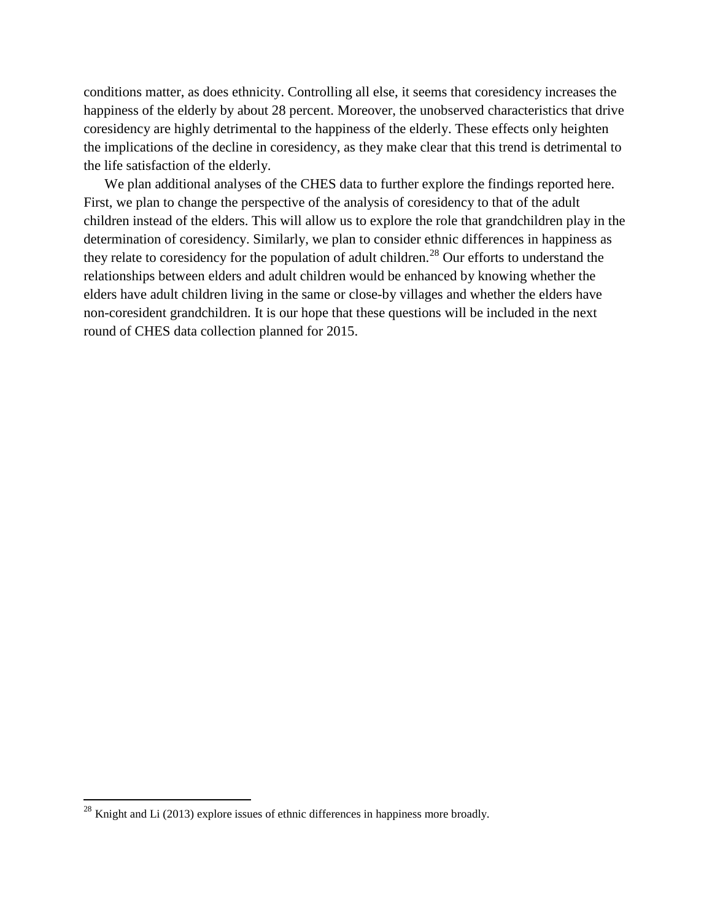conditions matter, as does ethnicity. Controlling all else, it seems that coresidency increases the happiness of the elderly by about 28 percent. Moreover, the unobserved characteristics that drive coresidency are highly detrimental to the happiness of the elderly. These effects only heighten the implications of the decline in coresidency, as they make clear that this trend is detrimental to the life satisfaction of the elderly.

We plan additional analyses of the CHES data to further explore the findings reported here. First, we plan to change the perspective of the analysis of coresidency to that of the adult children instead of the elders. This will allow us to explore the role that grandchildren play in the determination of coresidency. Similarly, we plan to consider ethnic differences in happiness as they relate to coresidency for the population of adult children.<sup>[28](#page-15-2)</sup> Our efforts to understand the relationships between elders and adult children would be enhanced by knowing whether the elders have adult children living in the same or close-by villages and whether the elders have non-coresident grandchildren. It is our hope that these questions will be included in the next round of CHES data collection planned for 2015.

l

 $^{28}$  Knight and Li (2013) explore issues of ethnic differences in happiness more broadly.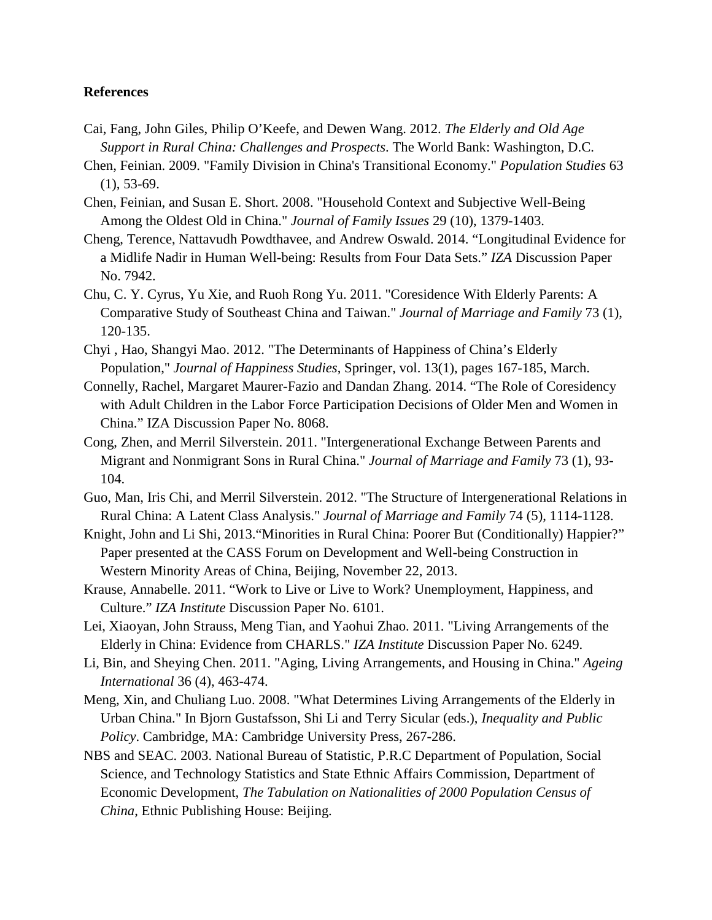#### **References**

- Cai, Fang, John Giles, Philip O'Keefe, and Dewen Wang. 2012. *The Elderly and Old Age Support in Rural China: Challenges and Prospects*. The World Bank: Washington, D.C.
- Chen, Feinian. 2009. "Family Division in China's Transitional Economy." *Population Studies* 63 (1), 53-69.
- Chen, Feinian, and Susan E. Short. 2008. "Household Context and Subjective Well-Being Among the Oldest Old in China." *Journal of Family Issues* 29 (10), 1379-1403.
- Cheng, Terence, Nattavudh Powdthavee, and Andrew Oswald. 2014. "Longitudinal Evidence for a Midlife Nadir in Human Well-being: Results from Four Data Sets." *IZA* Discussion Paper No. 7942.
- Chu, C. Y. Cyrus, Yu Xie, and Ruoh Rong Yu. 2011. "Coresidence With Elderly Parents: A Comparative Study of Southeast China and Taiwan." *Journal of Marriage and Family* 73 (1), 120-135.
- Chyi , Hao, Shangyi Mao. 2012. "The Determinants of Happiness of China's Elderly Population," *Journal of Happiness Studies*, Springer, vol. 13(1), pages 167-185, March.
- Connelly, Rachel, Margaret Maurer-Fazio and Dandan Zhang. 2014. "The Role of Coresidency with Adult Children in the Labor Force Participation Decisions of Older Men and Women in China." IZA Discussion Paper No. 8068.
- Cong, Zhen, and Merril Silverstein. 2011. "Intergenerational Exchange Between Parents and Migrant and Nonmigrant Sons in Rural China." *Journal of Marriage and Family* 73 (1), 93- 104.
- Guo, Man, Iris Chi, and Merril Silverstein. 2012. "The Structure of Intergenerational Relations in Rural China: A Latent Class Analysis." *Journal of Marriage and Family* 74 (5), 1114-1128.
- Knight, John and Li Shi, 2013."Minorities in Rural China: Poorer But (Conditionally) Happier?" Paper presented at the CASS Forum on Development and Well-being Construction in Western Minority Areas of China, Beijing, November 22, 2013.
- Krause, Annabelle. 2011. "Work to Live or Live to Work? Unemployment, Happiness, and Culture." *IZA Institute* Discussion Paper No. 6101.
- Lei, Xiaoyan, John Strauss, Meng Tian, and Yaohui Zhao. 2011. "Living Arrangements of the Elderly in China: Evidence from CHARLS." *IZA Institute* Discussion Paper No. 6249.
- Li, Bin, and Sheying Chen. 2011. "Aging, Living Arrangements, and Housing in China." *Ageing International* 36 (4), 463-474.
- Meng, Xin, and Chuliang Luo. 2008. "What Determines Living Arrangements of the Elderly in Urban China." In Bjorn Gustafsson, Shi Li and Terry Sicular (eds.), *Inequality and Public Policy*. Cambridge, MA: Cambridge University Press, 267-286.
- NBS and SEAC. 2003. National Bureau of Statistic, P.R.C Department of Population, Social Science, and Technology Statistics and State Ethnic Affairs Commission, Department of Economic Development, *The Tabulation on Nationalities of 2000 Population Census of China*, Ethnic Publishing House: Beijing.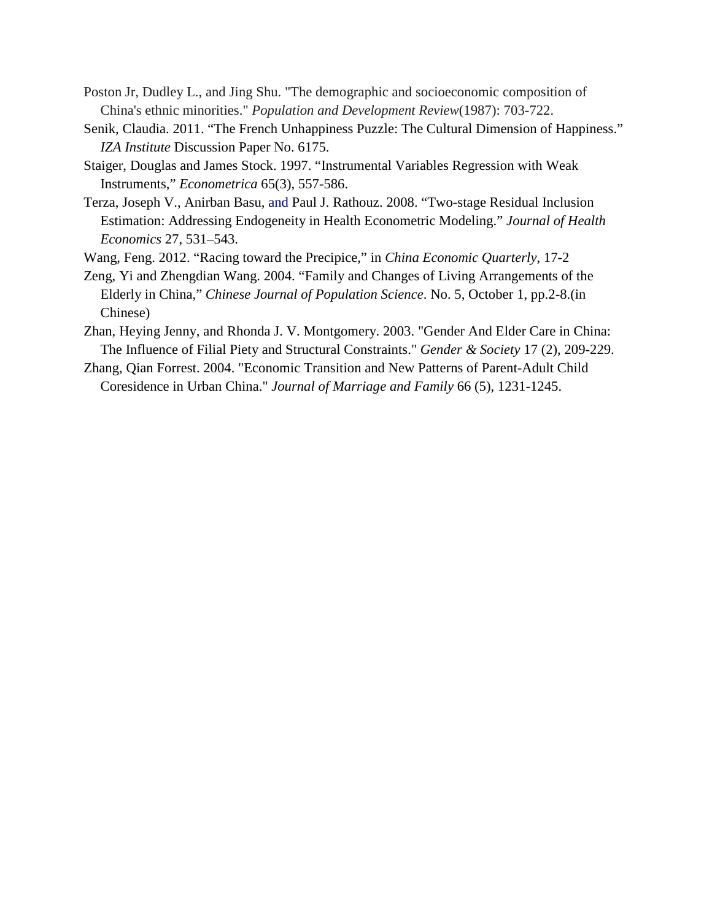- Poston Jr, Dudley L., and Jing Shu. "The demographic and socioeconomic composition of China's ethnic minorities." *Population and Development Review*(1987): 703-722.
- Senik, Claudia. 2011. "The French Unhappiness Puzzle: The Cultural Dimension of Happiness." *IZA Institute* Discussion Paper No. 6175.
- Staiger, Douglas and James Stock. 1997. "Instrumental Variables Regression with Weak Instruments," *Econometrica* 65(3), 557-586.
- Terza, Joseph V., Anirban Basu, and Paul J. Rathouz. 2008. "Two-stage Residual Inclusion Estimation: Addressing Endogeneity in Health Econometric Modeling." *Journal of Health Economics* 27, 531–543.

Wang, Feng. 2012. "Racing toward the Precipice," in *China Economic Quarterly*, 17-2

- Zeng, Yi and Zhengdian Wang. 2004. "Family and Changes of Living Arrangements of the Elderly in China," *Chinese Journal of Population Science*. No. 5, October 1, pp.2-8.(in Chinese)
- Zhan, Heying Jenny, and Rhonda J. V. Montgomery. 2003. "Gender And Elder Care in China: The Influence of Filial Piety and Structural Constraints." *Gender & Society* 17 (2), 209-229.
- Zhang, Qian Forrest. 2004. "Economic Transition and New Patterns of Parent-Adult Child Coresidence in Urban China." *Journal of Marriage and Family* 66 (5), 1231-1245.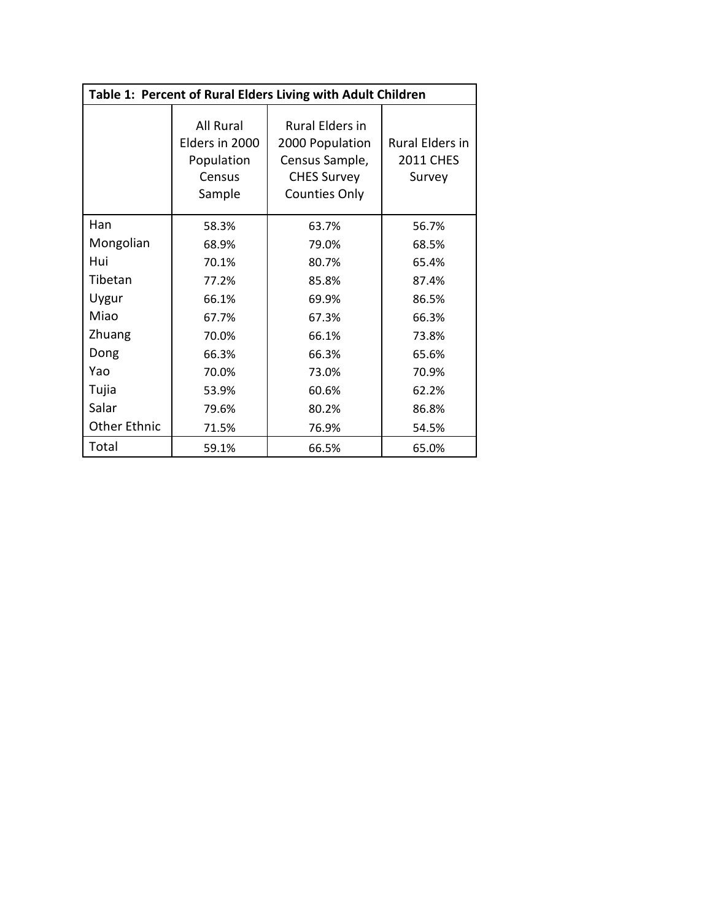| Table 1: Percent of Rural Elders Living with Adult Children |                                                               |                                                                                                           |                                               |  |  |  |  |
|-------------------------------------------------------------|---------------------------------------------------------------|-----------------------------------------------------------------------------------------------------------|-----------------------------------------------|--|--|--|--|
|                                                             | All Rural<br>Elders in 2000<br>Population<br>Census<br>Sample | <b>Rural Elders in</b><br>2000 Population<br>Census Sample,<br><b>CHES Survey</b><br><b>Counties Only</b> | Rural Elders in<br><b>2011 CHES</b><br>Survey |  |  |  |  |
| Han                                                         | 58.3%                                                         | 63.7%                                                                                                     | 56.7%                                         |  |  |  |  |
| Mongolian                                                   | 68.9%                                                         | 79.0%                                                                                                     | 68.5%                                         |  |  |  |  |
| Hui                                                         | 70.1%                                                         | 80.7%                                                                                                     | 65.4%                                         |  |  |  |  |
| Tibetan                                                     | 77.2%                                                         | 85.8%                                                                                                     | 87.4%                                         |  |  |  |  |
| Uygur                                                       | 66.1%                                                         | 69.9%                                                                                                     | 86.5%                                         |  |  |  |  |
| Miao                                                        | 67.7%                                                         | 67.3%                                                                                                     | 66.3%                                         |  |  |  |  |
| Zhuang                                                      | 70.0%                                                         | 66.1%                                                                                                     | 73.8%                                         |  |  |  |  |
| Dong                                                        | 66.3%                                                         | 66.3%                                                                                                     | 65.6%                                         |  |  |  |  |
| Yao                                                         | 70.0%                                                         | 73.0%                                                                                                     | 70.9%                                         |  |  |  |  |
| Tujia                                                       | 53.9%                                                         | 60.6%                                                                                                     | 62.2%                                         |  |  |  |  |
| Salar                                                       | 79.6%                                                         | 80.2%                                                                                                     | 86.8%                                         |  |  |  |  |
| <b>Other Ethnic</b>                                         | 71.5%                                                         | 76.9%                                                                                                     | 54.5%                                         |  |  |  |  |
| Total                                                       | 59.1%                                                         | 66.5%                                                                                                     | 65.0%                                         |  |  |  |  |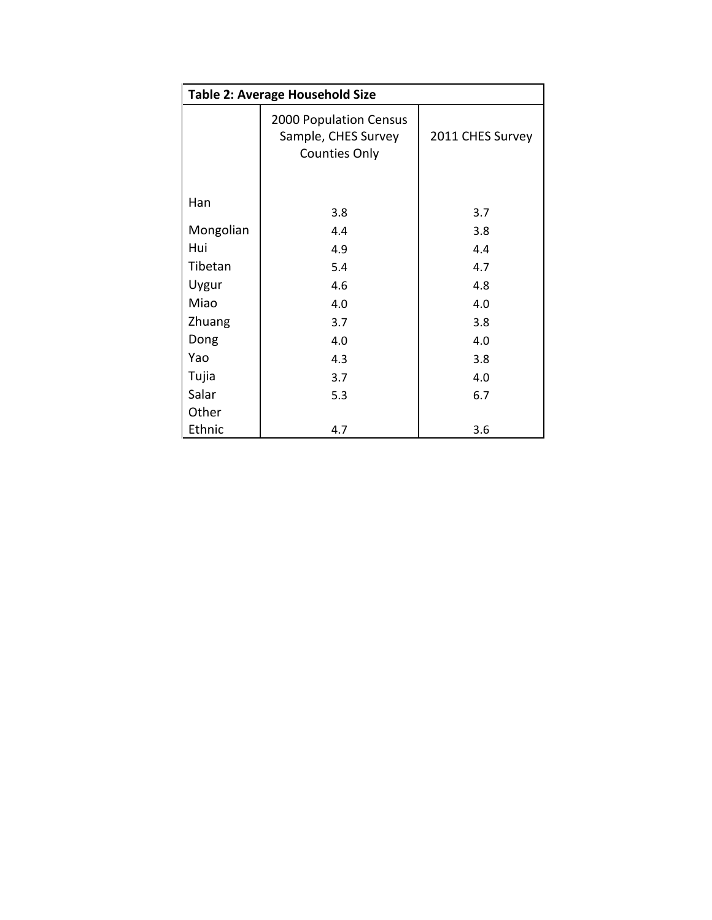| <b>Table 2: Average Household Size</b> |                                                                       |                  |  |  |  |  |  |
|----------------------------------------|-----------------------------------------------------------------------|------------------|--|--|--|--|--|
|                                        | 2000 Population Census<br>Sample, CHES Survey<br><b>Counties Only</b> | 2011 CHES Survey |  |  |  |  |  |
| Han                                    | 3.8                                                                   | 3.7              |  |  |  |  |  |
| Mongolian                              | 4.4                                                                   | 3.8              |  |  |  |  |  |
| Hui                                    | 4.9                                                                   | 4.4              |  |  |  |  |  |
| Tibetan                                | 5.4                                                                   | 4.7              |  |  |  |  |  |
| Uygur                                  | 4.6                                                                   | 4.8              |  |  |  |  |  |
| Miao                                   | 4.0                                                                   | 4.0              |  |  |  |  |  |
| Zhuang                                 | 3.7                                                                   | 3.8              |  |  |  |  |  |
| Dong                                   | 4.0                                                                   | 4.0              |  |  |  |  |  |
| Yao                                    | 4.3                                                                   | 3.8              |  |  |  |  |  |
| Tujia                                  | 3.7                                                                   | 4.0              |  |  |  |  |  |
| Salar                                  | 5.3                                                                   | 6.7              |  |  |  |  |  |
| Other                                  |                                                                       |                  |  |  |  |  |  |
| Ethnic                                 | 4.7                                                                   | 3.6              |  |  |  |  |  |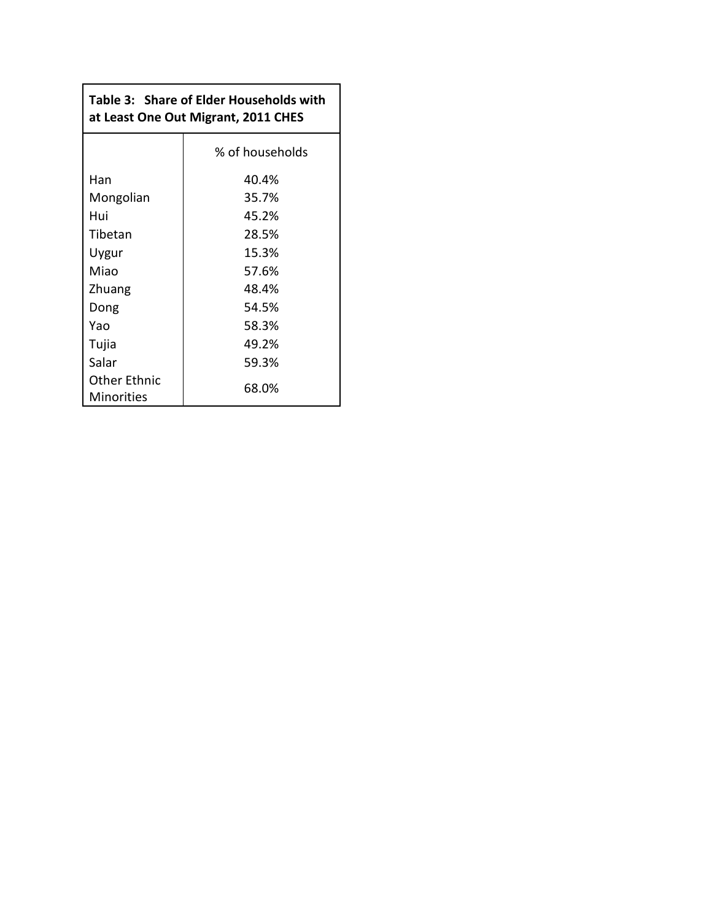# **Table 3: Share of Elder Households with at Least One Out Migrant, 2011 CHES**

|                                   | % of households |
|-----------------------------------|-----------------|
| Han                               | 40.4%           |
| Mongolian                         | 35.7%           |
| Hui                               | 45.2%           |
| Tibetan                           | 28.5%           |
| Uygur                             | 15.3%           |
| Miao                              | 57.6%           |
| Zhuang                            | 48.4%           |
| Dong                              | 54.5%           |
| Yao                               | 58.3%           |
| Tujia                             | 49.2%           |
| Salar                             | 59.3%           |
| <b>Other Ethnic</b><br>Minorities | 68.0%           |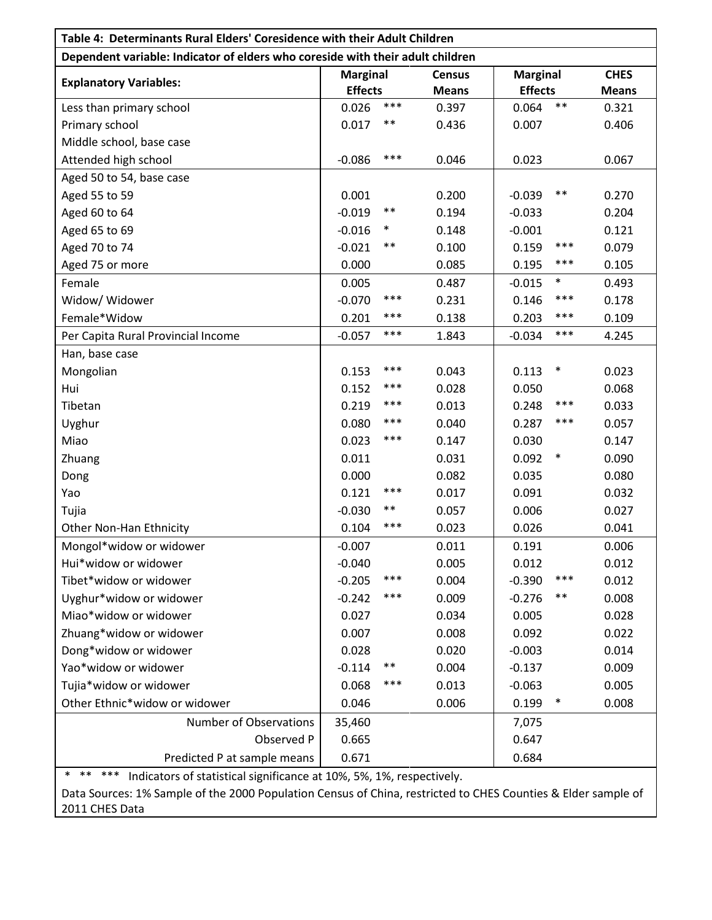| Table 4: Determinants Rural Elders' Coresidence with their Adult Children                      |                 |        |               |                    |              |  |  |
|------------------------------------------------------------------------------------------------|-----------------|--------|---------------|--------------------|--------------|--|--|
| Dependent variable: Indicator of elders who coreside with their adult children                 |                 |        |               |                    |              |  |  |
| <b>Explanatory Variables:</b>                                                                  | <b>Marginal</b> |        | <b>Census</b> | <b>Marginal</b>    | <b>CHES</b>  |  |  |
|                                                                                                | <b>Effects</b>  |        | <b>Means</b>  | <b>Effects</b>     | <b>Means</b> |  |  |
| Less than primary school                                                                       | 0.026           | ***    | 0.397         | $***$<br>0.064     | 0.321        |  |  |
| Primary school                                                                                 | 0.017           | $***$  | 0.436         | 0.007              | 0.406        |  |  |
| Middle school, base case                                                                       |                 |        |               |                    |              |  |  |
| Attended high school                                                                           | $-0.086$        | ***    | 0.046         | 0.023              | 0.067        |  |  |
| Aged 50 to 54, base case                                                                       |                 |        |               |                    |              |  |  |
| Aged 55 to 59                                                                                  | 0.001           |        | 0.200         | $***$<br>$-0.039$  | 0.270        |  |  |
| Aged 60 to 64                                                                                  | $-0.019$        | $***$  | 0.194         | $-0.033$           | 0.204        |  |  |
| Aged 65 to 69                                                                                  | $-0.016$        | $\ast$ | 0.148         | $-0.001$           | 0.121        |  |  |
| Aged 70 to 74                                                                                  | $-0.021$        | $***$  | 0.100         | 0.159              | ***<br>0.079 |  |  |
| Aged 75 or more                                                                                | 0.000           |        | 0.085         | 0.195              | ***<br>0.105 |  |  |
| Female                                                                                         | 0.005           |        | 0.487         | $\ast$<br>$-0.015$ | 0.493        |  |  |
| Widow/ Widower                                                                                 | $-0.070$        | ***    | 0.231         | 0.146              | ***<br>0.178 |  |  |
| Female*Widow                                                                                   | 0.201           | ***    | 0.138         | 0.203              | ***<br>0.109 |  |  |
| Per Capita Rural Provincial Income                                                             | $-0.057$        | ***    | 1.843         | $-0.034$           | ***<br>4.245 |  |  |
| Han, base case                                                                                 |                 |        |               |                    |              |  |  |
| Mongolian                                                                                      | 0.153           | ***    | 0.043         | $\ast$<br>0.113    | 0.023        |  |  |
| Hui                                                                                            | 0.152           | ***    | 0.028         | 0.050              | 0.068        |  |  |
| Tibetan                                                                                        | 0.219           | ***    | 0.013         | 0.248              | ***<br>0.033 |  |  |
| Uyghur                                                                                         | 0.080           | ***    | 0.040         | 0.287              | ***<br>0.057 |  |  |
| Miao                                                                                           | 0.023           | ***    | 0.147         | 0.030              | 0.147        |  |  |
| Zhuang                                                                                         | 0.011           |        | 0.031         | $\ast$<br>0.092    | 0.090        |  |  |
| Dong                                                                                           | 0.000           |        | 0.082         | 0.035              | 0.080        |  |  |
| Yao                                                                                            | 0.121           | ***    | 0.017         | 0.091              | 0.032        |  |  |
| Tujia                                                                                          | $-0.030$        | $***$  | 0.057         | 0.006              | 0.027        |  |  |
| Other Non-Han Ethnicity                                                                        | 0.104           | ***    | 0.023         | 0.026              | 0.041        |  |  |
| Mongol*widow or widower                                                                        | $-0.007$        |        | 0.011         | 0.191              | 0.006        |  |  |
| Hui*widow or widower                                                                           | $-0.040$        |        | 0.005         | 0.012              | 0.012        |  |  |
| Tibet*widow or widower                                                                         | $-0.205$        | ***    | 0.004         | $-0.390$           | ***<br>0.012 |  |  |
| Uyghur*widow or widower                                                                        | $-0.242$        | ***    | 0.009         | $***$<br>$-0.276$  | 0.008        |  |  |
| Miao*widow or widower                                                                          | 0.027           |        | 0.034         | 0.005              | 0.028        |  |  |
| Zhuang*widow or widower                                                                        | 0.007           |        | 0.008         | 0.092              | 0.022        |  |  |
| Dong*widow or widower                                                                          | 0.028           |        | 0.020         | $-0.003$           | 0.014        |  |  |
| Yao*widow or widower                                                                           | $-0.114$        | **     | 0.004         | $-0.137$           | 0.009        |  |  |
| Tujia*widow or widower                                                                         | 0.068           | ***    | 0.013         | $-0.063$           | 0.005        |  |  |
| Other Ethnic*widow or widower                                                                  | 0.046           |        | 0.006         | $\ast$<br>0.199    | 0.008        |  |  |
| <b>Number of Observations</b>                                                                  | 35,460          |        |               | 7,075              |              |  |  |
| Observed P                                                                                     | 0.665           |        |               | 0.647              |              |  |  |
| Predicted P at sample means                                                                    | 0.671           |        |               | 0.684              |              |  |  |
| $***$<br>***<br>$\ast$<br>Indicators of statistical significance at 10%, 5%, 1%, respectively. |                 |        |               |                    |              |  |  |

Data Sources: 1% Sample of the 2000 Population Census of China, restricted to CHES Counties & Elder sample of 2011 CHES Data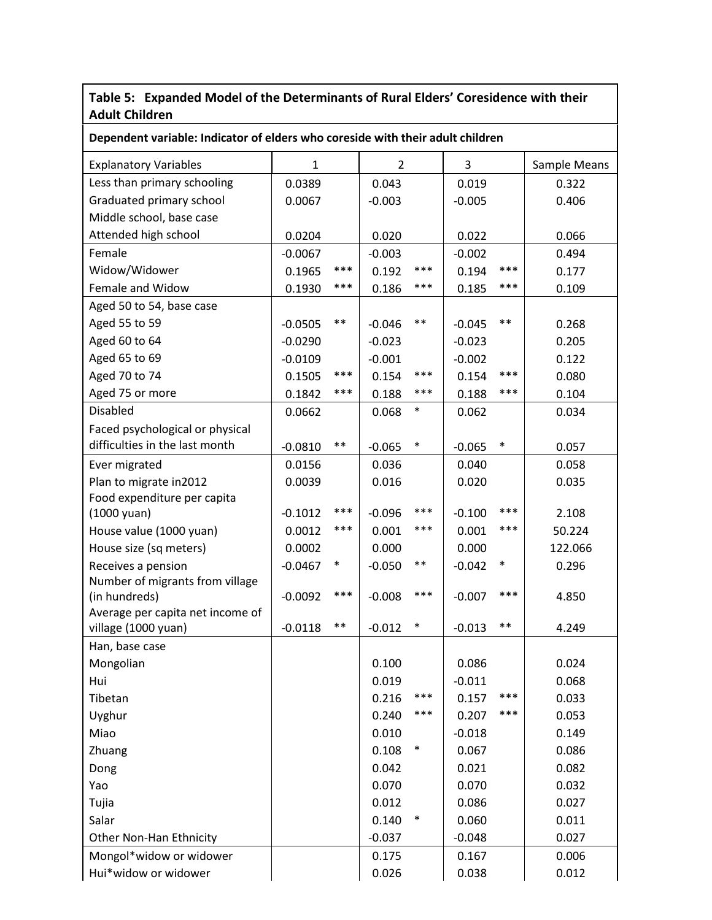### **Table 5: Expanded Model of the Determinants of Rural Elders' Coresidence with their Adult Children**

| Dependent variable: Indicator of elders who coreside with their adult children |             |            |                |            |          |            |              |
|--------------------------------------------------------------------------------|-------------|------------|----------------|------------|----------|------------|--------------|
| <b>Explanatory Variables</b>                                                   | $\mathbf 1$ |            | $\overline{2}$ |            | 3        |            | Sample Means |
| Less than primary schooling                                                    | 0.0389      |            | 0.043          |            | 0.019    |            | 0.322        |
| Graduated primary school                                                       | 0.0067      |            | $-0.003$       |            | $-0.005$ |            | 0.406        |
| Middle school, base case                                                       |             |            |                |            |          |            |              |
| Attended high school                                                           | 0.0204      |            | 0.020          |            | 0.022    |            | 0.066        |
| Female                                                                         | $-0.0067$   |            | $-0.003$       |            | $-0.002$ |            | 0.494        |
| Widow/Widower                                                                  | 0.1965      | ***        | 0.192          | ***        | 0.194    | ***        | 0.177        |
| Female and Widow                                                               | 0.1930      | ***        | 0.186          | ***        | 0.185    | ***        | 0.109        |
| Aged 50 to 54, base case                                                       |             |            |                |            |          |            |              |
| Aged 55 to 59                                                                  | $-0.0505$   | $\ast\ast$ | $-0.046$       | $\ast\ast$ | $-0.045$ | $\ast\ast$ | 0.268        |
| Aged 60 to 64                                                                  | $-0.0290$   |            | $-0.023$       |            | $-0.023$ |            | 0.205        |
| Aged 65 to 69                                                                  | $-0.0109$   |            | $-0.001$       |            | $-0.002$ |            | 0.122        |
| Aged 70 to 74                                                                  | 0.1505      | ***        | 0.154          | ***        | 0.154    | ***        | 0.080        |
| Aged 75 or more                                                                | 0.1842      | ***        | 0.188          | ***        | 0.188    | ***        | 0.104        |
| <b>Disabled</b>                                                                | 0.0662      |            | 0.068          | $\ast$     | 0.062    |            | 0.034        |
| Faced psychological or physical                                                |             |            |                |            |          |            |              |
| difficulties in the last month                                                 | $-0.0810$   | $***$      | $-0.065$       | $\ast$     | $-0.065$ | $\ast$     | 0.057        |
| Ever migrated                                                                  | 0.0156      |            | 0.036          |            | 0.040    |            | 0.058        |
| Plan to migrate in2012                                                         | 0.0039      |            | 0.016          |            | 0.020    |            | 0.035        |
| Food expenditure per capita                                                    |             |            |                |            |          |            |              |
| $(1000$ yuan)                                                                  | $-0.1012$   | ***        | $-0.096$       | ***        | $-0.100$ | ***        | 2.108        |
| House value (1000 yuan)                                                        | 0.0012      | ***        | 0.001          | ***        | 0.001    | $***$      | 50.224       |
| House size (sq meters)                                                         | 0.0002      |            | 0.000          |            | 0.000    |            | 122.066      |
| Receives a pension                                                             | $-0.0467$   | $\ast$     | $-0.050$       | $***$      | $-0.042$ | $\ast$     | 0.296        |
| Number of migrants from village                                                |             | ***        |                | ***        |          | $***$      |              |
| (in hundreds)<br>Average per capita net income of                              | $-0.0092$   |            | $-0.008$       |            | $-0.007$ |            | 4.850        |
| village (1000 yuan)                                                            | $-0.0118$   | $***$      | $-0.012$       | $\ast$     | $-0.013$ | $***$      | 4.249        |
| Han, base case                                                                 |             |            |                |            |          |            |              |
| Mongolian                                                                      |             |            | 0.100          |            | 0.086    |            | 0.024        |
| Hui                                                                            |             |            | 0.019          |            | $-0.011$ |            | 0.068        |
| Tibetan                                                                        |             |            | 0.216          | ***        | 0.157    | ***        | 0.033        |
| Uyghur                                                                         |             |            | 0.240          | ***        | 0.207    | ***        | 0.053        |
| Miao                                                                           |             |            | 0.010          |            | $-0.018$ |            | 0.149        |
| Zhuang                                                                         |             |            | 0.108          | $\ast$     | 0.067    |            | 0.086        |
| Dong                                                                           |             |            | 0.042          |            | 0.021    |            | 0.082        |
| Yao                                                                            |             |            | 0.070          |            | 0.070    |            | 0.032        |
| Tujia                                                                          |             |            | 0.012          |            | 0.086    |            | 0.027        |
| Salar                                                                          |             |            | 0.140          | $\ast$     | 0.060    |            | 0.011        |
| Other Non-Han Ethnicity                                                        |             |            | $-0.037$       |            | $-0.048$ |            | 0.027        |
| Mongol*widow or widower                                                        |             |            | 0.175          |            | 0.167    |            | 0.006        |
| Hui*widow or widower                                                           |             |            | 0.026          |            | 0.038    |            | 0.012        |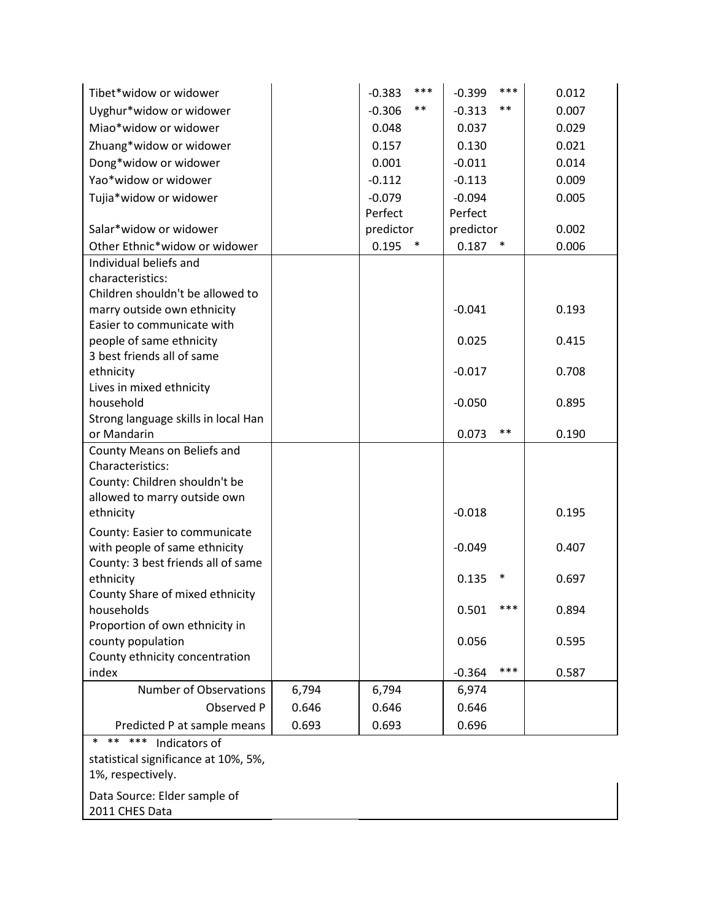| Tibet*widow or widower                              |       | $-0.383$ | ***       | $-0.399$  | $***$     | 0.012 |
|-----------------------------------------------------|-------|----------|-----------|-----------|-----------|-------|
| Uyghur*widow or widower                             |       | $-0.306$ | $***$     | $-0.313$  | $***$     | 0.007 |
| Miao*widow or widower                               |       | 0.048    |           | 0.037     |           | 0.029 |
| Zhuang*widow or widower                             |       | 0.157    |           | 0.130     |           | 0.021 |
| Dong*widow or widower                               |       | 0.001    |           | $-0.011$  |           | 0.014 |
| Yao*widow or widower                                |       | $-0.112$ |           | $-0.113$  |           | 0.009 |
| Tujia*widow or widower                              |       | $-0.079$ |           | $-0.094$  |           | 0.005 |
|                                                     |       | Perfect  |           | Perfect   |           |       |
| Salar*widow or widower                              |       |          | predictor |           | predictor | 0.002 |
| Other Ethnic*widow or widower                       |       | 0.195    | ∗         | $0.187$ * |           | 0.006 |
| Individual beliefs and                              |       |          |           |           |           |       |
| characteristics:                                    |       |          |           |           |           |       |
| Children shouldn't be allowed to                    |       |          |           |           |           |       |
| marry outside own ethnicity                         |       |          |           | $-0.041$  |           | 0.193 |
| Easier to communicate with                          |       |          |           |           |           |       |
| people of same ethnicity                            |       |          |           | 0.025     |           | 0.415 |
| 3 best friends all of same                          |       |          |           | $-0.017$  |           | 0.708 |
| ethnicity<br>Lives in mixed ethnicity               |       |          |           |           |           |       |
| household                                           |       |          |           | $-0.050$  |           | 0.895 |
| Strong language skills in local Han                 |       |          |           |           |           |       |
| or Mandarin                                         |       |          |           | 0.073     | $***$     | 0.190 |
| County Means on Beliefs and                         |       |          |           |           |           |       |
| Characteristics:                                    |       |          |           |           |           |       |
| County: Children shouldn't be                       |       |          |           |           |           |       |
| allowed to marry outside own                        |       |          |           |           |           |       |
| ethnicity                                           |       |          |           | $-0.018$  |           | 0.195 |
| County: Easier to communicate                       |       |          |           |           |           |       |
| with people of same ethnicity                       |       |          |           | $-0.049$  |           | 0.407 |
| County: 3 best friends all of same                  |       |          |           |           |           |       |
| ethnicity                                           |       |          |           | 0.135     | $\ast$    | 0.697 |
| County Share of mixed ethnicity                     |       |          |           |           | ***       |       |
| households                                          |       |          |           | 0.501     |           | 0.894 |
| Proportion of own ethnicity in<br>county population |       |          |           | 0.056     |           | 0.595 |
| County ethnicity concentration                      |       |          |           |           |           |       |
| index                                               |       |          |           | $-0.364$  | ***       | 0.587 |
| <b>Number of Observations</b>                       | 6,794 | 6,794    |           | 6,974     |           |       |
| Observed P                                          | 0.646 | 0.646    |           | 0.646     |           |       |
| Predicted P at sample means                         | 0.693 | 0.693    |           | 0.696     |           |       |
| ** ***<br>$\ast$<br>Indicators of                   |       |          |           |           |           |       |
| statistical significance at 10%, 5%,                |       |          |           |           |           |       |
|                                                     |       |          |           |           |           |       |

1%, respectively.

Data Source: Elder sample of

2011 CHES Data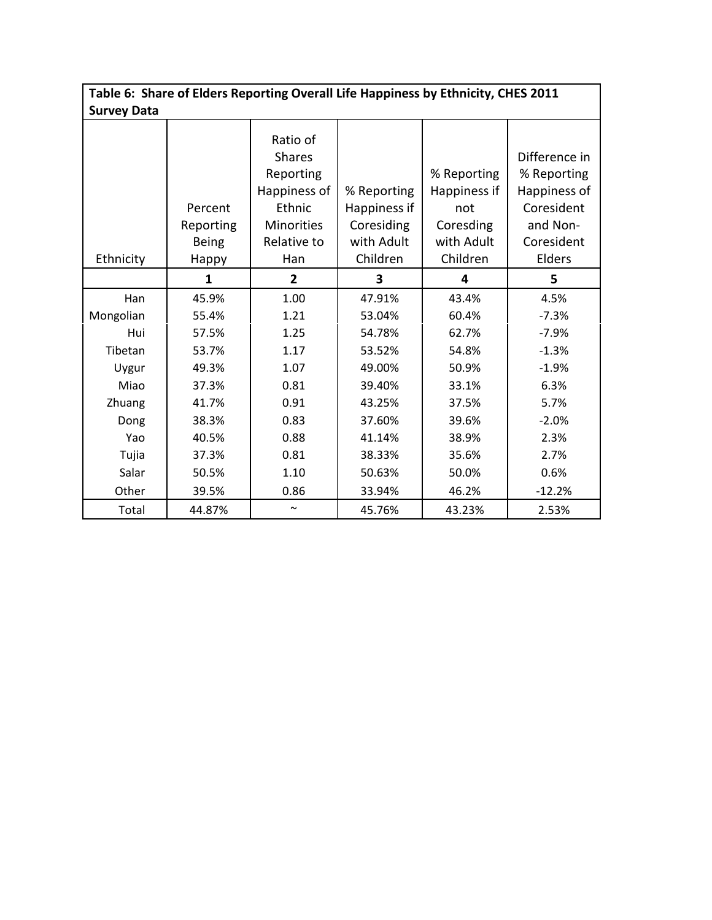| Table 6: Share of Elders Reporting Overall Life Happiness by Ethnicity, CHES 2011<br><b>Survey Data</b> |                                                                                                          |                                                                                                             |                                                                                                                      |                                                                                                          |                                                                                                                 |  |  |  |
|---------------------------------------------------------------------------------------------------------|----------------------------------------------------------------------------------------------------------|-------------------------------------------------------------------------------------------------------------|----------------------------------------------------------------------------------------------------------------------|----------------------------------------------------------------------------------------------------------|-----------------------------------------------------------------------------------------------------------------|--|--|--|
| Ethnicity                                                                                               | Percent<br>Reporting<br><b>Being</b><br>Happy                                                            | Ratio of<br><b>Shares</b><br>Reporting<br>Happiness of<br>Ethnic<br><b>Minorities</b><br>Relative to<br>Han | % Reporting<br>Happiness if<br>Coresiding<br>with Adult<br>Children                                                  | % Reporting<br>Happiness if<br>not<br>Coresding<br>with Adult<br>Children                                | Difference in<br>% Reporting<br>Happiness of<br>Coresident<br>and Non-<br>Coresident<br>Elders                  |  |  |  |
|                                                                                                         | 1                                                                                                        | $\overline{2}$                                                                                              | 3                                                                                                                    | 4                                                                                                        | 5                                                                                                               |  |  |  |
| Han<br>Mongolian<br>Hui<br>Tibetan<br>Uygur<br>Miao<br>Zhuang<br>Dong<br>Yao<br>Tujia<br>Salar<br>Other | 45.9%<br>55.4%<br>57.5%<br>53.7%<br>49.3%<br>37.3%<br>41.7%<br>38.3%<br>40.5%<br>37.3%<br>50.5%<br>39.5% | 1.00<br>1.21<br>1.25<br>1.17<br>1.07<br>0.81<br>0.91<br>0.83<br>0.88<br>0.81<br>1.10<br>0.86                | 47.91%<br>53.04%<br>54.78%<br>53.52%<br>49.00%<br>39.40%<br>43.25%<br>37.60%<br>41.14%<br>38.33%<br>50.63%<br>33.94% | 43.4%<br>60.4%<br>62.7%<br>54.8%<br>50.9%<br>33.1%<br>37.5%<br>39.6%<br>38.9%<br>35.6%<br>50.0%<br>46.2% | 4.5%<br>$-7.3%$<br>$-7.9%$<br>$-1.3%$<br>$-1.9%$<br>6.3%<br>5.7%<br>$-2.0%$<br>2.3%<br>2.7%<br>0.6%<br>$-12.2%$ |  |  |  |
| Total                                                                                                   | 44.87%                                                                                                   | $\sim$                                                                                                      | 45.76%                                                                                                               | 43.23%                                                                                                   | 2.53%                                                                                                           |  |  |  |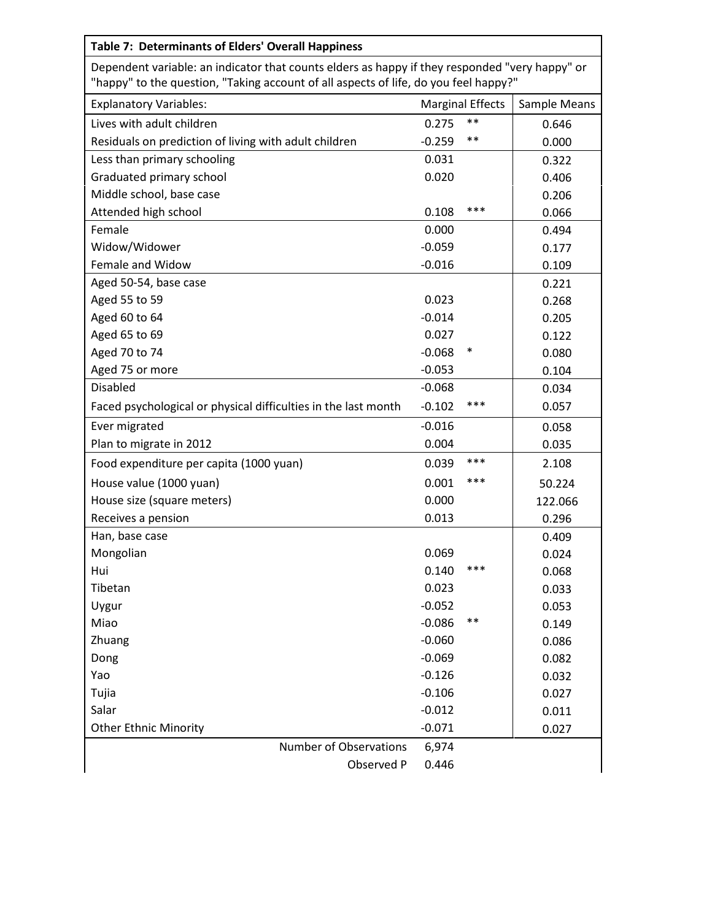| <b>Table 7: Determinants of Elders' Overall Happiness</b>                                                                                                                              |              |       |         |  |  |  |
|----------------------------------------------------------------------------------------------------------------------------------------------------------------------------------------|--------------|-------|---------|--|--|--|
| Dependent variable: an indicator that counts elders as happy if they responded "very happy" or<br>"happy" to the question, "Taking account of all aspects of life, do you feel happy?" |              |       |         |  |  |  |
| <b>Explanatory Variables:</b>                                                                                                                                                          | Sample Means |       |         |  |  |  |
| Lives with adult children                                                                                                                                                              | 0.275        | $***$ | 0.646   |  |  |  |
| Residuals on prediction of living with adult children                                                                                                                                  | $-0.259$     | $***$ | 0.000   |  |  |  |
| Less than primary schooling                                                                                                                                                            | 0.031        |       | 0.322   |  |  |  |
| Graduated primary school                                                                                                                                                               | 0.020        |       | 0.406   |  |  |  |
| Middle school, base case                                                                                                                                                               |              |       | 0.206   |  |  |  |
| Attended high school                                                                                                                                                                   | 0.108        | ***   | 0.066   |  |  |  |
| Female                                                                                                                                                                                 | 0.000        |       | 0.494   |  |  |  |
| Widow/Widower                                                                                                                                                                          | $-0.059$     |       | 0.177   |  |  |  |
| Female and Widow                                                                                                                                                                       | $-0.016$     |       | 0.109   |  |  |  |
| Aged 50-54, base case                                                                                                                                                                  |              |       | 0.221   |  |  |  |
| Aged 55 to 59                                                                                                                                                                          | 0.023        |       | 0.268   |  |  |  |
| Aged 60 to 64                                                                                                                                                                          | $-0.014$     |       | 0.205   |  |  |  |
| Aged 65 to 69                                                                                                                                                                          | 0.027        |       | 0.122   |  |  |  |
| Aged 70 to 74                                                                                                                                                                          | $-0.068$     | ∗     | 0.080   |  |  |  |
| Aged 75 or more                                                                                                                                                                        | $-0.053$     |       | 0.104   |  |  |  |
| <b>Disabled</b>                                                                                                                                                                        | $-0.068$     |       | 0.034   |  |  |  |
| Faced psychological or physical difficulties in the last month                                                                                                                         | $-0.102$     | ***   | 0.057   |  |  |  |
| Ever migrated                                                                                                                                                                          | $-0.016$     |       | 0.058   |  |  |  |
| Plan to migrate in 2012                                                                                                                                                                | 0.004        |       | 0.035   |  |  |  |
| Food expenditure per capita (1000 yuan)                                                                                                                                                | 0.039        | ***   | 2.108   |  |  |  |
| House value (1000 yuan)                                                                                                                                                                | 0.001        | ***   | 50.224  |  |  |  |
| House size (square meters)                                                                                                                                                             | 0.000        |       | 122.066 |  |  |  |
| Receives a pension                                                                                                                                                                     | 0.013        |       | 0.296   |  |  |  |
| Han, base case                                                                                                                                                                         |              |       | 0.409   |  |  |  |
| Mongolian                                                                                                                                                                              | 0.069        |       | 0.024   |  |  |  |
| Hui                                                                                                                                                                                    | 0.140        | ***   | 0.068   |  |  |  |
| Tibetan                                                                                                                                                                                | 0.023        |       | 0.033   |  |  |  |
| Uygur                                                                                                                                                                                  | $-0.052$     |       | 0.053   |  |  |  |
| Miao                                                                                                                                                                                   | $-0.086$     | $***$ | 0.149   |  |  |  |
| Zhuang                                                                                                                                                                                 | $-0.060$     |       | 0.086   |  |  |  |
| Dong                                                                                                                                                                                   | $-0.069$     |       | 0.082   |  |  |  |
| Yao                                                                                                                                                                                    | $-0.126$     |       | 0.032   |  |  |  |
| Tujia                                                                                                                                                                                  | $-0.106$     |       | 0.027   |  |  |  |
| Salar                                                                                                                                                                                  | $-0.012$     |       | 0.011   |  |  |  |
| <b>Other Ethnic Minority</b>                                                                                                                                                           | $-0.071$     |       | 0.027   |  |  |  |
| <b>Number of Observations</b>                                                                                                                                                          | 6,974        |       |         |  |  |  |
| Observed P                                                                                                                                                                             | 0.446        |       |         |  |  |  |